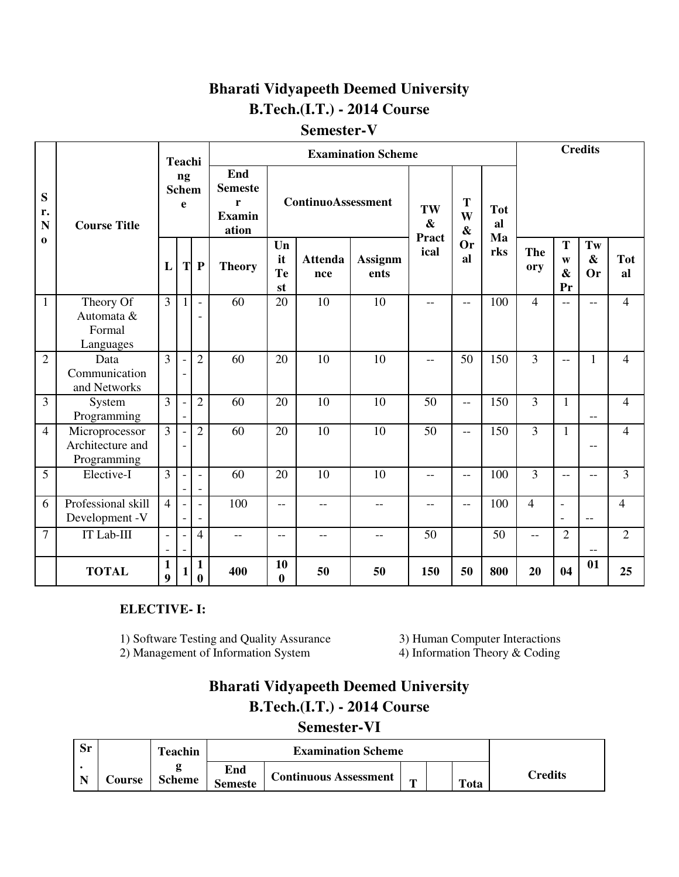# **Bharati Vidyapeeth Deemed University B.Tech.(I.T.) - 2014 Course**

# **Semester-V**

|                        |                                                   |                   | <b>Teachi</b>            |                                                      |                                                      |                      |                           | <b>Examination Scheme</b> |                         |                             |                        | <b>Credits</b> |                                            |                                      |                  |  |
|------------------------|---------------------------------------------------|-------------------|--------------------------|------------------------------------------------------|------------------------------------------------------|----------------------|---------------------------|---------------------------|-------------------------|-----------------------------|------------------------|----------------|--------------------------------------------|--------------------------------------|------------------|--|
| S<br>r.<br>$\mathbf N$ | <b>Course Title</b>                               |                   | ng<br><b>Schem</b><br>e  |                                                      | End<br><b>Semeste</b><br>r<br><b>Examin</b><br>ation |                      | <b>ContinuoAssessment</b> |                           | TW<br>$\boldsymbol{\&}$ | T<br>W<br>$\boldsymbol{\&}$ | <b>Tot</b><br>al<br>Ma |                |                                            |                                      |                  |  |
| $\bf{0}$               |                                                   |                   |                          | $T$ $P$                                              | <b>Theory</b>                                        | Un<br>it<br>Te<br>st | <b>Attenda</b><br>nce     | <b>Assignm</b><br>ents    | <b>Pract</b><br>ical    | <b>Or</b><br>al             | rks                    | The<br>ory     | T<br>W<br>$\mathbf{\&}$<br>Pr              | Tw<br>$\boldsymbol{\&}$<br><b>Or</b> | <b>Tot</b><br>al |  |
| $\mathbf{1}$           | Theory Of<br>Automata &<br>Formal<br>Languages    | $\overline{3}$    | $\mathbf{1}$             | $\overline{\phantom{a}}$<br>$\overline{\phantom{0}}$ | 60                                                   | 20                   | 10                        | 10                        | $-$                     | $-$                         | 100                    | $\overline{4}$ | $\overline{a}$                             | $-$                                  | $\overline{4}$   |  |
| $\overline{2}$         | Data<br>Communication<br>and Networks             | $\overline{3}$    |                          | $\overline{2}$                                       | 60                                                   | 20                   | 10                        | 10                        | $-$                     | 50                          | 150                    | $\overline{3}$ | $-$                                        | 1                                    | $\overline{4}$   |  |
| $\overline{3}$         | System<br>Programming                             | $\overline{3}$    |                          | $\overline{2}$                                       | 60                                                   | 20                   | 10                        | 10                        | 50                      | $\overline{a}$              | 150                    | $\overline{3}$ | $\mathbf{1}$                               | $-$                                  | $\overline{4}$   |  |
| $\overline{4}$         | Microprocessor<br>Architecture and<br>Programming | $\overline{3}$    |                          | $\overline{2}$                                       | 60                                                   | 20                   | 10                        | 10                        | 50                      | $-$                         | 150                    | 3              | $\mathbf{1}$                               | --                                   | $\overline{4}$   |  |
| 5                      | Elective-I                                        | $\overline{3}$    |                          | $\blacksquare$<br>$\overline{\phantom{a}}$           | 60                                                   | 20                   | 10                        | 10                        | $-$                     | $-$                         | 100                    | $\overline{3}$ | $-$                                        | $-$                                  | $\overline{3}$   |  |
| 6                      | Professional skill<br>Development -V              | $\overline{4}$    | $\overline{\phantom{a}}$ | $\blacksquare$<br>$\overline{\phantom{a}}$           | 100                                                  | $-$                  | $-$                       | $-$                       | $-$                     | $-$                         | 100                    | $\overline{4}$ | $\blacksquare$<br>$\overline{\phantom{a}}$ | $-$                                  | $\overline{4}$   |  |
| $\overline{7}$         | IT Lab-III                                        | $\overline{a}$    |                          | $\overline{4}$                                       | $-$                                                  | $\qquad \qquad -$    | $-$                       | $\qquad \qquad -$         | 50                      |                             | 50                     | $-$            | $\overline{2}$                             | --                                   | $\overline{2}$   |  |
|                        | <b>TOTAL</b>                                      | $\mathbf{1}$<br>9 |                          | $\mathbf{1}$<br>$\bf{0}$                             | 400                                                  | 10<br>$\bf{0}$       | 50                        | 50                        | 150                     | 50                          | 800                    | 20             | 04                                         | 01                                   | 25               |  |

# **ELECTIVE- I:**

- 1) Software Testing and Quality Assurance 3) Human Computer Interactions<br>2) Management of Information System 4) Information Theory & Coding
- 2) Management of Information System

# **Bharati Vidyapeeth Deemed University B.Tech.(I.T.) - 2014 Course**

# **Semester-VI**

| Sr |               | Teachin       |                       | <b>Examination Scheme</b>    |              |  |      |                 |
|----|---------------|---------------|-----------------------|------------------------------|--------------|--|------|-----------------|
|    | <b>Course</b> | <b>Scheme</b> | End<br><b>Semeste</b> | <b>Continuous Assessment</b> | $\mathbf{r}$ |  | Tota | $\gamma$ redits |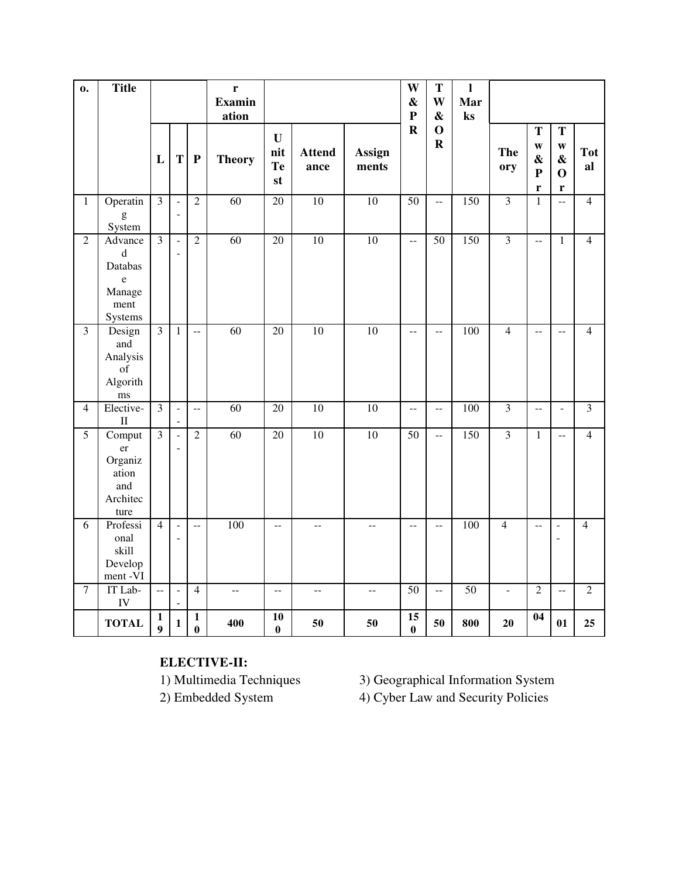| $\mathbf{0}$            | <b>Title</b>                                                                  |                                  |                                            |                          | $\mathbf r$<br><b>Examin</b><br>ation |                                               |                          |                                               | W<br>$\pmb{\&}$<br>$\mathbf{P}$ | T<br>W<br>$\boldsymbol{\&}$               | $\mathbf{l}$<br>Mar<br>$\mathbf{k}$ s |                          |                                                                    |                                                            |                  |
|-------------------------|-------------------------------------------------------------------------------|----------------------------------|--------------------------------------------|--------------------------|---------------------------------------|-----------------------------------------------|--------------------------|-----------------------------------------------|---------------------------------|-------------------------------------------|---------------------------------------|--------------------------|--------------------------------------------------------------------|------------------------------------------------------------|------------------|
|                         |                                                                               | L                                | $\mathbf T$                                | $\mathbf P$              | <b>Theory</b>                         | $\mathbf{U}$<br>nit<br>Te<br>st               | <b>Attend</b><br>ance    | Assign<br>ments                               | $\mathbf R$                     | $\mathbf 0$<br>$\mathbf R$                |                                       | <b>The</b><br>ory        | T<br>$\mathbf{W}$<br>$\boldsymbol{\&}$<br>${\bf P}$<br>$\mathbf r$ | T<br>$\mathbf{W}$<br>$\boldsymbol{\&}$<br>$\mathbf 0$<br>r | <b>Tot</b><br>al |
| $\mathbf{1}$            | Operatin<br>$\mathbf{g}% _{0}$<br>System                                      | $\overline{\mathbf{3}}$          | $\overline{a}$<br>$\overline{\phantom{a}}$ | $\overline{2}$           | 60                                    | $\overline{20}$                               | 10                       | 10                                            | $\overline{50}$                 | $\overline{a}$                            | 150                                   | $\overline{3}$           | $\mathbf{1}$                                                       | $\overline{a}$                                             | $\overline{4}$   |
| $\overline{2}$          | Advance<br>$\mathbf d$<br>Databas<br>$\mathbf e$<br>Manage<br>ment<br>Systems | $\overline{3}$                   | $\overline{a}$                             | $\overline{2}$           | $\overline{60}$                       | 20                                            | $\overline{10}$          | $\overline{10}$                               | $\mathbb{L}^{\perp}$            | 50                                        | 150                                   | $\overline{\mathbf{3}}$  | $\overline{\phantom{a}}$                                           | $\mathbf{1}$                                               | $\overline{4}$   |
| $\overline{\mathbf{3}}$ | Design<br>and<br>Analysis<br>of<br>Algorith<br>ms                             | $\overline{3}$                   | $\mathbf{1}$                               | $\bar{\phantom{a}}$      | $\overline{60}$                       | 20                                            | $\overline{10}$          | $\overline{10}$                               | --                              | $-$                                       | 100                                   | $\overline{4}$           | $\overline{a}$                                                     | $-$                                                        | $\overline{4}$   |
| $\overline{4}$          | Elective-<br>$\rm II$                                                         | $\overline{3}$                   | $\frac{1}{2}$                              | $\overline{a}$           | 60                                    | $\overline{20}$                               | 10                       | 10                                            | $\mathbb{L}^{\perp}$            | $\overline{\phantom{a}}$                  | 100                                   | $\overline{\mathbf{3}}$  | $\overline{a}$                                                     | $\blacksquare$                                             | $\overline{3}$   |
| $\overline{5}$          | Comput<br>er<br>Organiz<br>ation<br>and<br>Architec<br>ture                   | $\overline{3}$                   | $\overline{a}$                             | $\overline{2}$           | 60                                    | 20                                            | 10                       | 10                                            | 50                              | $\overline{a}$                            | 150                                   | $\overline{3}$           | $\overline{1}$                                                     | $\overline{a}$                                             | $\overline{4}$   |
| 6                       | Professi<br>onal<br>skill<br>Develop<br>ment-VI                               | $\overline{4}$                   |                                            | $-$                      | 100                                   | $- -$                                         | $-$                      | --                                            | $-$                             | $\mathrel{{-}\mathrel{{-}}\mathrel{{-}}}$ | 100                                   | $\overline{4}$           | $-$                                                                | $\overline{\phantom{0}}$<br>$\blacksquare$                 | $\overline{4}$   |
| $\tau$                  | IT Lab-<br>IV                                                                 | $\overline{\phantom{a}}$         | $\blacksquare$                             | $\overline{4}$           | $\overline{\phantom{m}}$              | $\mathord{\hspace{1pt}\text{--}\hspace{1pt}}$ | $\overline{\phantom{m}}$ | $\mathord{\hspace{1pt}\text{--}\hspace{1pt}}$ | 50                              | $\overline{\phantom{a}}$                  | $\overline{50}$                       | $\overline{\phantom{a}}$ | $\overline{2}$                                                     | $\overline{\phantom{a}}$                                   | $\overline{2}$   |
|                         | <b>TOTAL</b>                                                                  | $\mathbf{1}$<br>$\boldsymbol{9}$ | $\mathbf 1$                                | $\mathbf{1}$<br>$\bf{0}$ | 400                                   | 10<br>$\bf{0}$                                | 50                       | 50                                            | 15<br>$\bf{0}$                  | 50                                        | 800                                   | 20                       | 04                                                                 | 01                                                         | 25               |

**ELECTIVE-II:** 

3) Geographical Information System

2) Embedded System 4) Cyber Law and Security Policies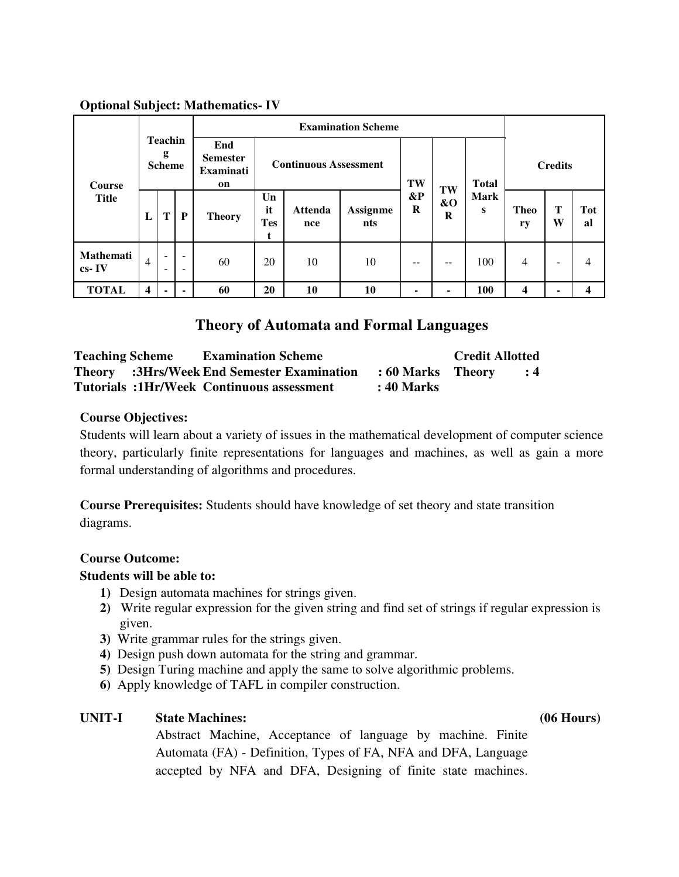### **Optional Subject: Mathematics- IV**

|                        | <b>Teachin</b><br>g<br><b>Scheme</b> |                |                                                      |                                                  |                             |                              | <b>Examination Scheme</b> |                   |                           |                  |                   |        |                         |
|------------------------|--------------------------------------|----------------|------------------------------------------------------|--------------------------------------------------|-----------------------------|------------------------------|---------------------------|-------------------|---------------------------|------------------|-------------------|--------|-------------------------|
| <b>Course</b>          |                                      |                |                                                      | End<br><b>Semester</b><br><b>Examinati</b><br>on |                             | <b>Continuous Assessment</b> | TW                        |                   | <b>Total</b>              | <b>Credits</b>   |                   |        |                         |
| <b>Title</b>           | L                                    | T              | P                                                    | <b>Theory</b>                                    | Un<br>it<br><b>Tes</b><br>t | <b>Attenda</b><br>nce        | <b>Assignme</b><br>nts    | $\&P$<br>$\bf{R}$ | TW<br>$\&\mathrm{O}$<br>R | <b>Mark</b><br>S | <b>Theo</b><br>ry | т<br>W | <b>Tot</b><br>al        |
| Mathemati<br>$cs - IV$ | 4                                    | $\blacksquare$ | $\overline{\phantom{a}}$<br>$\overline{\phantom{a}}$ | 60                                               | 20                          | 10                           | 10                        | $- -$             | $ -$                      | 100              | $\overline{4}$    | ۰      | 4                       |
| <b>TOTAL</b>           | $\overline{\mathbf{4}}$              |                | ۰                                                    | 60                                               | 20                          | 10                           | 10                        | -                 |                           | 100              | 4                 |        | $\overline{\mathbf{4}}$ |

# **Theory of Automata and Formal Languages**

| <b>Teaching Scheme</b> | <b>Examination Scheme</b>                         |                   | <b>Credit Allotted</b> |                |
|------------------------|---------------------------------------------------|-------------------|------------------------|----------------|
|                        | <b>Theory</b> :3Hrs/Week End Semester Examination | : 60 Marks Theory |                        | $\therefore$ 4 |
|                        | <b>Tutorials :1Hr/Week Continuous assessment</b>  | : 40 Marks        |                        |                |

### **Course Objectives:**

Students will learn about a variety of issues in the mathematical development of computer science theory, particularly finite representations for languages and machines, as well as gain a more formal understanding of algorithms and procedures.

**Course Prerequisites:** Students should have knowledge of set theory and state transition diagrams.

### **Course Outcome:**

### **Students will be able to:**

- **1)** Design automata machines for strings given.
- **2)** Write regular expression for the given string and find set of strings if regular expression is given.
- **3)** Write grammar rules for the strings given.
- **4)** Design push down automata for the string and grammar.
- **5)** Design Turing machine and apply the same to solve algorithmic problems.
- **6)** Apply knowledge of TAFL in compiler construction.

# **UNIT-I State Machines: (06 Hours)**

Abstract Machine, Acceptance of language by machine. Finite Automata (FA) - Definition, Types of FA, NFA and DFA, Language accepted by NFA and DFA, Designing of finite state machines.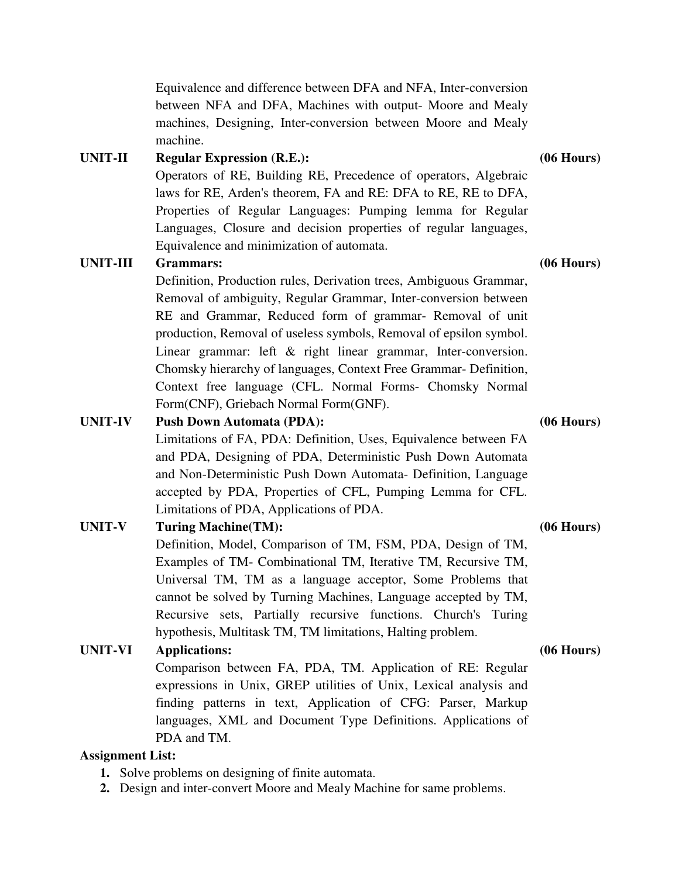Equivalence and difference between DFA and NFA, Inter-conversion between NFA and DFA, Machines with output- Moore and Mealy machines, Designing, Inter-conversion between Moore and Mealy machine.

# **UNIT-II Regular Expression (R.E.): (06 Hours)**

Operators of RE, Building RE, Precedence of operators, Algebraic laws for RE, Arden's theorem, FA and RE: DFA to RE, RE to DFA, Properties of Regular Languages: Pumping lemma for Regular Languages, Closure and decision properties of regular languages, Equivalence and minimization of automata.

# **UNIT-III Grammars: (06 Hours)**

Definition, Production rules, Derivation trees, Ambiguous Grammar, Removal of ambiguity, Regular Grammar, Inter-conversion between RE and Grammar, Reduced form of grammar- Removal of unit production, Removal of useless symbols, Removal of epsilon symbol. Linear grammar: left & right linear grammar, Inter-conversion. Chomsky hierarchy of languages, Context Free Grammar- Definition, Context free language (CFL. Normal Forms- Chomsky Normal Form(CNF), Griebach Normal Form(GNF).

### **UNIT-IV Push Down Automata (PDA): (06 Hours)**

Limitations of FA, PDA: Definition, Uses, Equivalence between FA and PDA, Designing of PDA, Deterministic Push Down Automata and Non-Deterministic Push Down Automata- Definition, Language accepted by PDA, Properties of CFL, Pumping Lemma for CFL. Limitations of PDA, Applications of PDA.

# **UNIT-V Turing Machine(TM): (06 Hours)**

Definition, Model, Comparison of TM, FSM, PDA, Design of TM, Examples of TM- Combinational TM, Iterative TM, Recursive TM, Universal TM, TM as a language acceptor, Some Problems that cannot be solved by Turning Machines, Language accepted by TM, Recursive sets, Partially recursive functions. Church's Turing hypothesis, Multitask TM, TM limitations, Halting problem.

# **UNIT-VI Applications: (06 Hours)**

Comparison between FA, PDA, TM. Application of RE: Regular expressions in Unix, GREP utilities of Unix, Lexical analysis and finding patterns in text, Application of CFG: Parser, Markup languages, XML and Document Type Definitions. Applications of PDA and TM.

### **Assignment List:**

- **1.** Solve problems on designing of finite automata.
- **2.** Design and inter-convert Moore and Mealy Machine for same problems.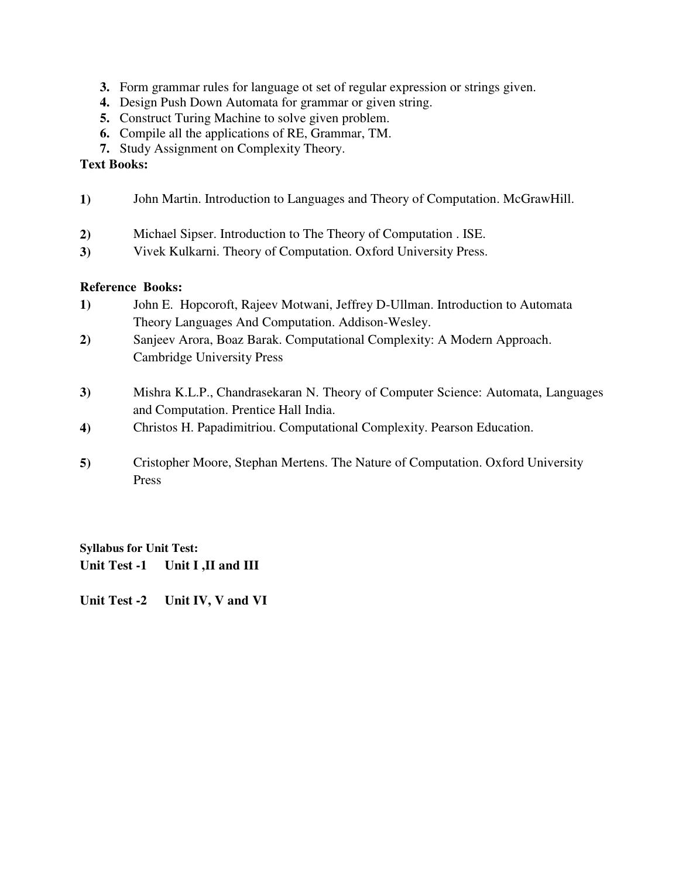- **3.** Form grammar rules for language ot set of regular expression or strings given.
- **4.** Design Push Down Automata for grammar or given string.
- **5.** Construct Turing Machine to solve given problem.
- **6.** Compile all the applications of RE, Grammar, TM.
- **7.** Study Assignment on Complexity Theory.

### **Text Books:**

- **1)** John Martin. Introduction to Languages and Theory of Computation. McGrawHill.
- **2)** Michael Sipser. Introduction to The Theory of Computation . ISE.
- **3)** Vivek Kulkarni. Theory of Computation. Oxford University Press.

# **Reference Books:**

- **1)** John E. Hopcoroft, Rajeev Motwani, Jeffrey D-Ullman. Introduction to Automata Theory Languages And Computation. Addison-Wesley.
- **2)** [Sanjeev Arora,](http://www.amazon.com/Sanjeev-Arora/e/B001QV5QCE/ref=dp_byline_cont_book_1) [Boaz Barak.](http://www.amazon.com/s/ref=dp_byline_sr_book_2?ie=UTF8&text=Boaz+Barak&search-alias=books&field-author=Boaz+Barak&sort=relevancerank) Computational Complexity: A Modern Approach. Cambridge University Press
- **3)** [Mishra K.L.P.,](http://www.amazon.in/s/ref=dp_byline_sr_book_1?ie=UTF8&field-author=Mishra+K.L.P.&search-alias=stripbooks) [Chandrasekaran N.](http://www.amazon.in/s/ref=dp_byline_sr_book_2?ie=UTF8&field-author=Chandrasekaran+N.&search-alias=stripbooks) Theory of Computer Science: Automata, Languages and Computation. Prentice Hall India.
- **4)** [Christos H. Papadimitriou.](http://www.amazon.in/Christos-H.-Papadimitriou/e/B001ILOBVO/ref=dp_byline_cont_book_1) Computational Complexity. Pearson Education.
- **5)** [Cristopher Moore,](http://www.amazon.com/Cristopher-Moore/e/B005WGBTVG/ref=dp_byline_cont_book_1) [Stephan Mertens.](http://www.amazon.com/Stephan-Mertens/e/B005WFAFEE/ref=dp_byline_cont_book_2) The Nature of Computation. Oxford University Press

**Syllabus for Unit Test: Unit Test -1 Unit I ,II and III**

**Unit Test -2 Unit IV, V and VI**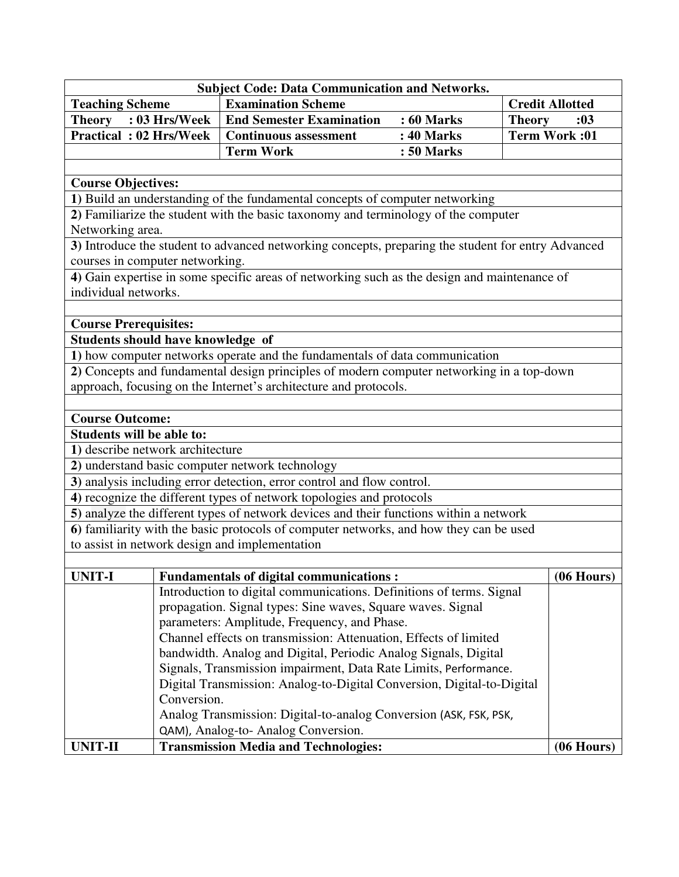|                                   |                                                                                    | <b>Subject Code: Data Communication and Networks.</b>                                              |                   |                        |  |  |  |  |  |
|-----------------------------------|------------------------------------------------------------------------------------|----------------------------------------------------------------------------------------------------|-------------------|------------------------|--|--|--|--|--|
| <b>Teaching Scheme</b>            |                                                                                    | <b>Examination Scheme</b>                                                                          |                   | <b>Credit Allotted</b> |  |  |  |  |  |
| Theory : 03 Hrs/Week              |                                                                                    | <b>End Semester Examination</b>                                                                    | <b>: 60 Marks</b> | <b>Theory</b><br>:03   |  |  |  |  |  |
| <b>Practical: 02 Hrs/Week</b>     |                                                                                    | <b>Continuous assessment</b>                                                                       | : 40 Marks        | <b>Term Work:01</b>    |  |  |  |  |  |
|                                   |                                                                                    | <b>Term Work</b>                                                                                   | : 50 Marks        |                        |  |  |  |  |  |
|                                   |                                                                                    |                                                                                                    |                   |                        |  |  |  |  |  |
| <b>Course Objectives:</b>         |                                                                                    |                                                                                                    |                   |                        |  |  |  |  |  |
|                                   |                                                                                    | 1) Build an understanding of the fundamental concepts of computer networking                       |                   |                        |  |  |  |  |  |
|                                   | 2) Familiarize the student with the basic taxonomy and terminology of the computer |                                                                                                    |                   |                        |  |  |  |  |  |
|                                   | Networking area.                                                                   |                                                                                                    |                   |                        |  |  |  |  |  |
|                                   |                                                                                    | 3) Introduce the student to advanced networking concepts, preparing the student for entry Advanced |                   |                        |  |  |  |  |  |
| courses in computer networking.   |                                                                                    |                                                                                                    |                   |                        |  |  |  |  |  |
|                                   |                                                                                    | 4) Gain expertise in some specific areas of networking such as the design and maintenance of       |                   |                        |  |  |  |  |  |
| individual networks.              |                                                                                    |                                                                                                    |                   |                        |  |  |  |  |  |
|                                   |                                                                                    |                                                                                                    |                   |                        |  |  |  |  |  |
| <b>Course Prerequisites:</b>      |                                                                                    |                                                                                                    |                   |                        |  |  |  |  |  |
| Students should have knowledge of |                                                                                    | 1) how computer networks operate and the fundamentals of data communication                        |                   |                        |  |  |  |  |  |
|                                   |                                                                                    | 2) Concepts and fundamental design principles of modern computer networking in a top-down          |                   |                        |  |  |  |  |  |
|                                   |                                                                                    | approach, focusing on the Internet's architecture and protocols.                                   |                   |                        |  |  |  |  |  |
|                                   |                                                                                    |                                                                                                    |                   |                        |  |  |  |  |  |
| <b>Course Outcome:</b>            |                                                                                    |                                                                                                    |                   |                        |  |  |  |  |  |
| Students will be able to:         |                                                                                    |                                                                                                    |                   |                        |  |  |  |  |  |
| 1) describe network architecture  |                                                                                    |                                                                                                    |                   |                        |  |  |  |  |  |
|                                   |                                                                                    | 2) understand basic computer network technology                                                    |                   |                        |  |  |  |  |  |
|                                   |                                                                                    | 3) analysis including error detection, error control and flow control.                             |                   |                        |  |  |  |  |  |
|                                   |                                                                                    | 4) recognize the different types of network topologies and protocols                               |                   |                        |  |  |  |  |  |
|                                   |                                                                                    | 5) analyze the different types of network devices and their functions within a network             |                   |                        |  |  |  |  |  |
|                                   |                                                                                    | 6) familiarity with the basic protocols of computer networks, and how they can be used             |                   |                        |  |  |  |  |  |
|                                   |                                                                                    | to assist in network design and implementation                                                     |                   |                        |  |  |  |  |  |
|                                   |                                                                                    |                                                                                                    |                   |                        |  |  |  |  |  |
| UNIT-I                            |                                                                                    | <b>Fundamentals of digital communications:</b>                                                     |                   | $(06$ Hours)           |  |  |  |  |  |
|                                   |                                                                                    | Introduction to digital communications. Definitions of terms. Signal                               |                   |                        |  |  |  |  |  |
|                                   |                                                                                    | propagation. Signal types: Sine waves, Square waves. Signal                                        |                   |                        |  |  |  |  |  |
|                                   |                                                                                    | parameters: Amplitude, Frequency, and Phase.                                                       |                   |                        |  |  |  |  |  |
|                                   |                                                                                    | Channel effects on transmission: Attenuation, Effects of limited                                   |                   |                        |  |  |  |  |  |
|                                   |                                                                                    | bandwidth. Analog and Digital, Periodic Analog Signals, Digital                                    |                   |                        |  |  |  |  |  |
|                                   |                                                                                    | Signals, Transmission impairment, Data Rate Limits, Performance.                                   |                   |                        |  |  |  |  |  |
|                                   | Conversion.                                                                        | Digital Transmission: Analog-to-Digital Conversion, Digital-to-Digital                             |                   |                        |  |  |  |  |  |
|                                   |                                                                                    | Analog Transmission: Digital-to-analog Conversion (ASK, FSK, PSK,                                  |                   |                        |  |  |  |  |  |
|                                   |                                                                                    | QAM), Analog-to-Analog Conversion.                                                                 |                   |                        |  |  |  |  |  |
| <b>UNIT-II</b>                    |                                                                                    | <b>Transmission Media and Technologies:</b>                                                        |                   | $(06$ Hours)           |  |  |  |  |  |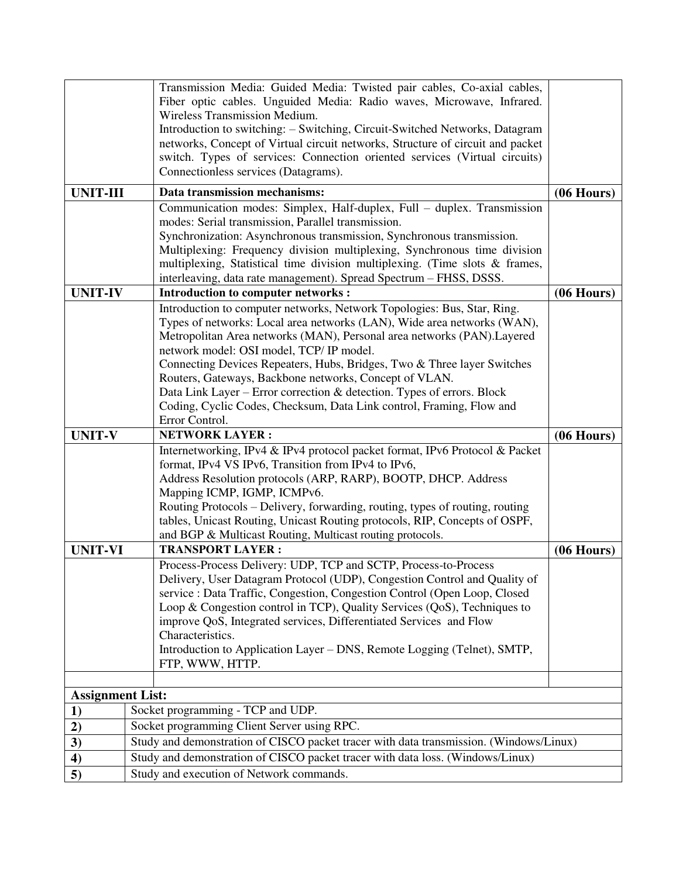|                               |  | Transmission Media: Guided Media: Twisted pair cables, Co-axial cables,                                                                           |              |
|-------------------------------|--|---------------------------------------------------------------------------------------------------------------------------------------------------|--------------|
|                               |  | Fiber optic cables. Unguided Media: Radio waves, Microwave, Infrared.                                                                             |              |
|                               |  | Wireless Transmission Medium.                                                                                                                     |              |
|                               |  | Introduction to switching: - Switching, Circuit-Switched Networks, Datagram                                                                       |              |
|                               |  | networks, Concept of Virtual circuit networks, Structure of circuit and packet                                                                    |              |
|                               |  | switch. Types of services: Connection oriented services (Virtual circuits)<br>Connectionless services (Datagrams).                                |              |
|                               |  |                                                                                                                                                   |              |
| <b>UNIT-III</b>               |  | Data transmission mechanisms:                                                                                                                     | $(06$ Hours) |
|                               |  | Communication modes: Simplex, Half-duplex, Full – duplex. Transmission                                                                            |              |
|                               |  | modes: Serial transmission, Parallel transmission.                                                                                                |              |
|                               |  | Synchronization: Asynchronous transmission, Synchronous transmission.                                                                             |              |
|                               |  | Multiplexing: Frequency division multiplexing, Synchronous time division                                                                          |              |
|                               |  | multiplexing, Statistical time division multiplexing. (Time slots & frames,<br>interleaving, data rate management). Spread Spectrum - FHSS, DSSS. |              |
| <b>UNIT-IV</b>                |  | <b>Introduction to computer networks:</b>                                                                                                         | $(06$ Hours) |
|                               |  | Introduction to computer networks, Network Topologies: Bus, Star, Ring.                                                                           |              |
|                               |  | Types of networks: Local area networks (LAN), Wide area networks (WAN),                                                                           |              |
|                               |  | Metropolitan Area networks (MAN), Personal area networks (PAN). Layered                                                                           |              |
|                               |  | network model: OSI model, TCP/IP model.                                                                                                           |              |
|                               |  | Connecting Devices Repeaters, Hubs, Bridges, Two & Three layer Switches                                                                           |              |
|                               |  | Routers, Gateways, Backbone networks, Concept of VLAN.                                                                                            |              |
|                               |  | Data Link Layer – Error correction & detection. Types of errors. Block                                                                            |              |
|                               |  | Coding, Cyclic Codes, Checksum, Data Link control, Framing, Flow and                                                                              |              |
|                               |  | Error Control.                                                                                                                                    |              |
|                               |  |                                                                                                                                                   |              |
| <b>UNIT-V</b>                 |  | <b>NETWORK LAYER:</b>                                                                                                                             | $(06$ Hours) |
|                               |  | Internetworking, IPv4 & IPv4 protocol packet format, IPv6 Protocol & Packet                                                                       |              |
|                               |  | format, IPv4 VS IPv6, Transition from IPv4 to IPv6,                                                                                               |              |
|                               |  | Address Resolution protocols (ARP, RARP), BOOTP, DHCP. Address                                                                                    |              |
|                               |  | Mapping ICMP, IGMP, ICMPv6.                                                                                                                       |              |
|                               |  | Routing Protocols – Delivery, forwarding, routing, types of routing, routing                                                                      |              |
|                               |  | tables, Unicast Routing, Unicast Routing protocols, RIP, Concepts of OSPF,                                                                        |              |
|                               |  | and BGP & Multicast Routing, Multicast routing protocols.                                                                                         |              |
| <b>UNIT-VI</b>                |  | <b>TRANSPORT LAYER:</b>                                                                                                                           | $(06$ Hours) |
|                               |  | Process-Process Delivery: UDP, TCP and SCTP, Process-to-Process                                                                                   |              |
|                               |  | Delivery, User Datagram Protocol (UDP), Congestion Control and Quality of                                                                         |              |
|                               |  | service : Data Traffic, Congestion, Congestion Control (Open Loop, Closed                                                                         |              |
|                               |  | Loop & Congestion control in TCP), Quality Services (QoS), Techniques to                                                                          |              |
|                               |  | improve QoS, Integrated services, Differentiated Services and Flow                                                                                |              |
|                               |  | Characteristics.                                                                                                                                  |              |
|                               |  | Introduction to Application Layer – DNS, Remote Logging (Telnet), SMTP,<br>FTP, WWW, HTTP.                                                        |              |
|                               |  |                                                                                                                                                   |              |
|                               |  |                                                                                                                                                   |              |
| <b>Assignment List:</b><br>1) |  | Socket programming - TCP and UDP.                                                                                                                 |              |
| 2)                            |  | Socket programming Client Server using RPC.                                                                                                       |              |
| 3)                            |  | Study and demonstration of CISCO packet tracer with data transmission. (Windows/Linux)                                                            |              |
| 4)                            |  | Study and demonstration of CISCO packet tracer with data loss. (Windows/Linux)                                                                    |              |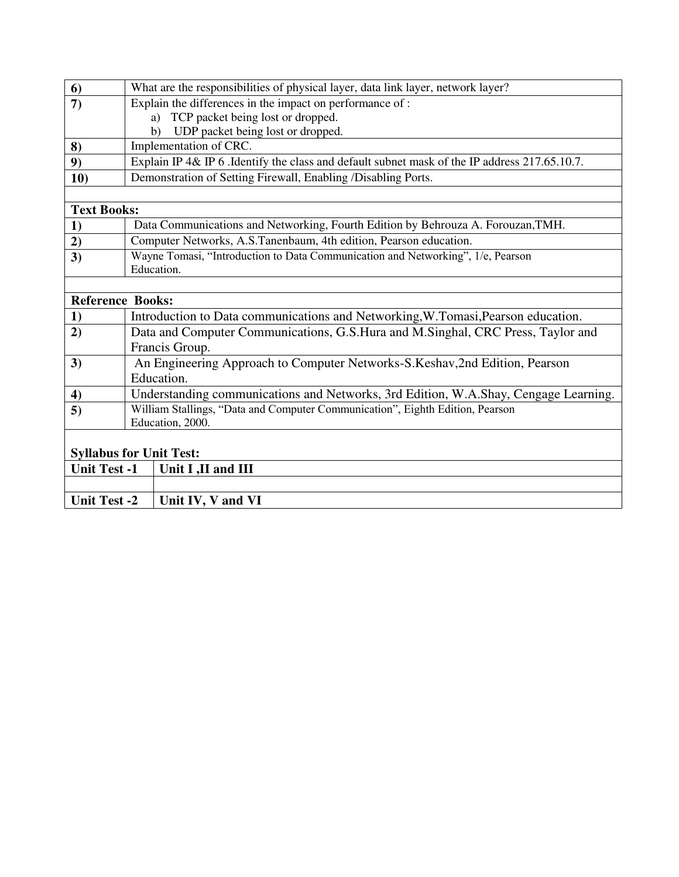| What are the responsibilities of physical layer, data link layer, network layer?              |
|-----------------------------------------------------------------------------------------------|
| Explain the differences in the impact on performance of:                                      |
| TCP packet being lost or dropped.<br>a)                                                       |
| UDP packet being lost or dropped.<br>b)                                                       |
| Implementation of CRC.                                                                        |
| Explain IP 4& IP 6 .Identify the class and default subnet mask of the IP address 217.65.10.7. |
| Demonstration of Setting Firewall, Enabling /Disabling Ports.                                 |
|                                                                                               |
|                                                                                               |
| Data Communications and Networking, Fourth Edition by Behrouza A. Forouzan, TMH.              |
| Computer Networks, A.S.Tanenbaum, 4th edition, Pearson education.                             |
| Wayne Tomasi, "Introduction to Data Communication and Networking", 1/e, Pearson               |
| Education.                                                                                    |
|                                                                                               |
| <b>Reference Books:</b>                                                                       |
| Introduction to Data communications and Networking, W.Tomasi, Pearson education.              |
| Data and Computer Communications, G.S.Hura and M.Singhal, CRC Press, Taylor and               |
| Francis Group.                                                                                |
| An Engineering Approach to Computer Networks-S.Keshav,2nd Edition, Pearson                    |
| Education.                                                                                    |
| Understanding communications and Networks, 3rd Edition, W.A.Shay, Cengage Learning.           |
| William Stallings, "Data and Computer Communication", Eighth Edition, Pearson                 |
| Education, 2000.                                                                              |
|                                                                                               |
| <b>Syllabus for Unit Test:</b>                                                                |
| Unit I ,II and III                                                                            |
|                                                                                               |
| Unit IV, V and VI                                                                             |
| <b>Text Books:</b><br><b>Unit Test -1</b><br><b>Unit Test -2</b>                              |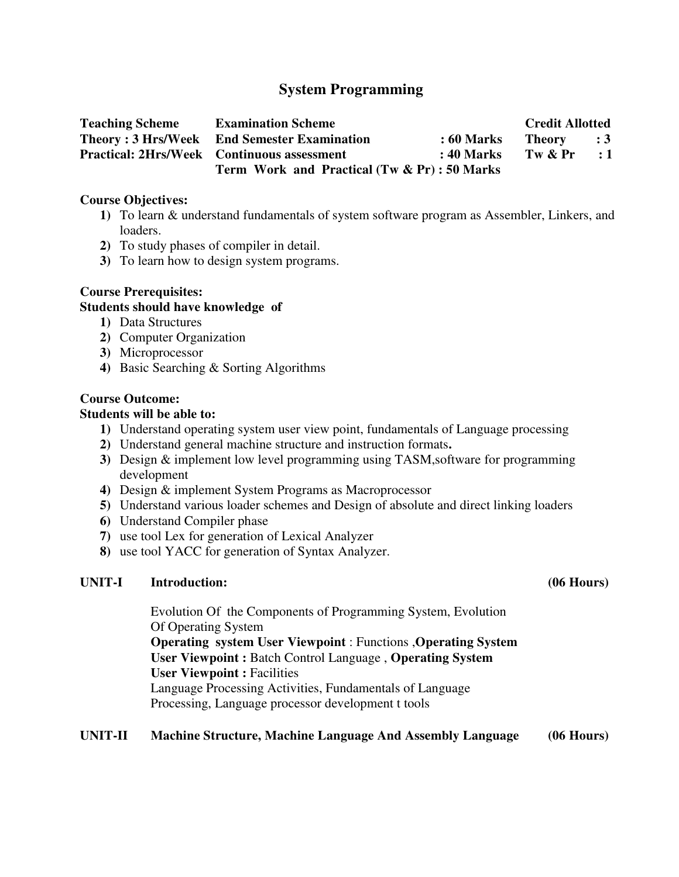# **System Programming**

| <b>Teaching Scheme</b> | <b>Examination Scheme</b>                          |                   | <b>Credit Allotted</b> |            |
|------------------------|----------------------------------------------------|-------------------|------------------------|------------|
|                        | <b>Theory: 3 Hrs/Week</b> End Semester Examination | <b>: 60 Marks</b> | Theory : 3             |            |
|                        | <b>Practical: 2Hrs/Week Continuous assessment</b>  | : 40 Marks        | Tw & Pr                | $\cdot$ :1 |
|                        | Term Work and Practical $(Tw & Pr)$ : 50 Marks     |                   |                        |            |

#### **Course Objectives:**

- **1)** To learn & understand fundamentals of system software program as Assembler, Linkers, and loaders.
- **2)** To study phases of compiler in detail.
- **3)** To learn how to design system programs.

# **Course Prerequisites:**

# **Students should have knowledge of**

- **1)** Data Structures
- **2)** Computer Organization
- **3)** Microprocessor
- **4)** Basic Searching & Sorting Algorithms

### **Course Outcome:**

## **Students will be able to:**

- **1)** Understand operating system user view point, fundamentals of Language processing
- **2)** Understand general machine structure and instruction formats**.**
- **3)** Design & implement low level programming using TASM,software for programming development
- **4)** Design & implement System Programs as Macroprocessor
- **5)** Understand various loader schemes and Design of absolute and direct linking loaders
- **6)** Understand Compiler phase
- **7)** use tool Lex for generation of Lexical Analyzer
- **8)** use tool YACC for generation of Syntax Analyzer.

### **UNIT-I Introduction: (06 Hours)**

Evolution Of the Components of Programming System, Evolution Of Operating System **Operating system User Viewpoint** : Functions ,**Operating System User Viewpoint :** Batch Control Language , **Operating System User Viewpoint :** Facilities Language Processing Activities, Fundamentals of Language Processing, Language processor development t tools

### **UNIT-II Machine Structure, Machine Language And Assembly Language (06 Hours)**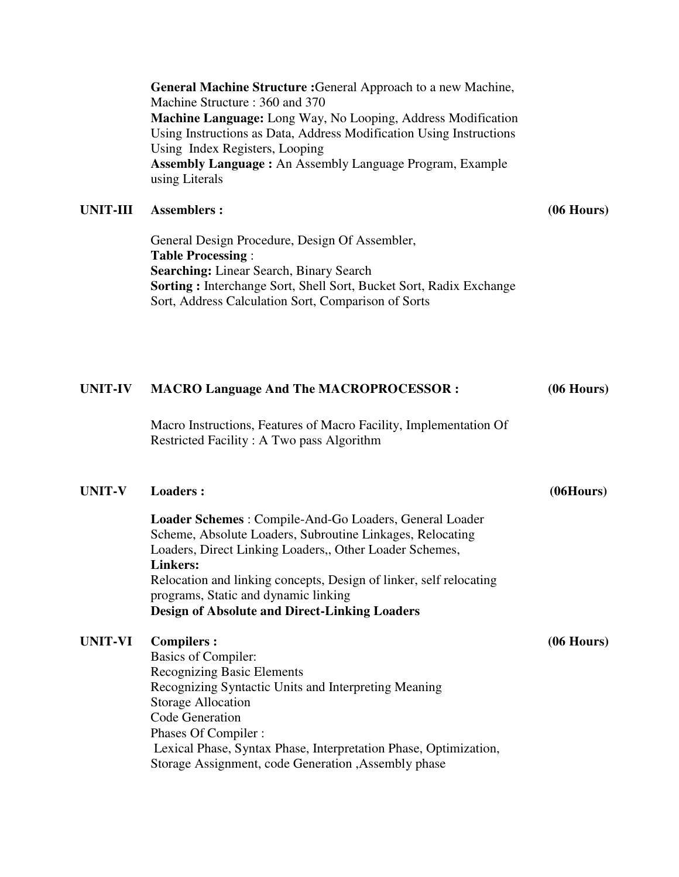**General Machine Structure :**General Approach to a new Machine, Machine Structure : 360 and 370 **Machine Language:** Long Way, No Looping, Address Modification Using Instructions as Data, Address Modification Using Instructions Using Index Registers, Looping **Assembly Language :** An Assembly Language Program, Example using Literals **UNIT-III Assemblers : (06 Hours)** General Design Procedure, Design Of Assembler, **Table Processing** : **Searching:** Linear Search, Binary Search **Sorting :** Interchange Sort, Shell Sort, Bucket Sort, Radix Exchange Sort, Address Calculation Sort, Comparison of Sorts **UNIT-IV MACRO Language And The MACROPROCESSOR : (06 Hours)** Macro Instructions, Features of Macro Facility, Implementation Of Restricted Facility : A Two pass Algorithm UNIT-V Loaders : (06Hours) **Loader Schemes** : Compile-And-Go Loaders, General Loader Scheme, Absolute Loaders, Subroutine Linkages, Relocating Loaders, Direct Linking Loaders,, Other Loader Schemes, **Linkers:**  Relocation and linking concepts, Design of linker, self relocating programs, Static and dynamic linking **Design of Absolute and Direct-Linking Loaders UNIT-VI Compilers : (06 Hours)** Basics of Compiler: Recognizing Basic Elements Recognizing Syntactic Units and Interpreting Meaning Storage Allocation Code Generation Phases Of Compiler : Lexical Phase, Syntax Phase, Interpretation Phase, Optimization, Storage Assignment, code Generation ,Assembly phase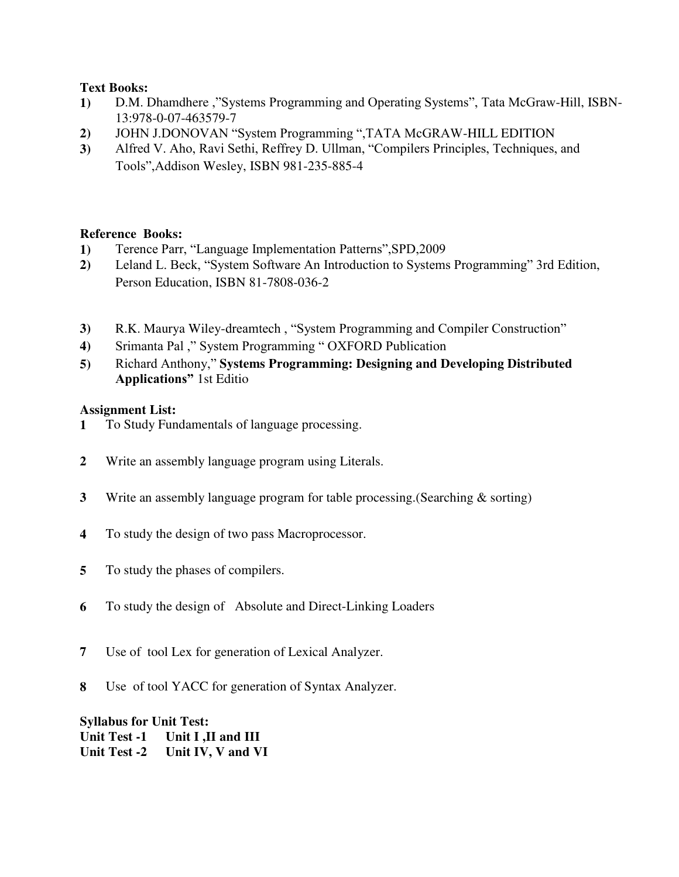### **Text Books:**

- **1)** D.M. Dhamdhere ,"Systems Programming and Operating Systems", Tata McGraw-Hill, ISBN-13:978-0-07-463579-7
- **2)** JOHN J.DONOVAN "System Programming ",TATA McGRAW-HILL EDITION
- **3)** Alfred V. Aho, Ravi Sethi, Reffrey D. Ullman, "Compilers Principles, Techniques, and Tools",Addison Wesley, ISBN 981-235-885-4

# **Reference Books:**

- **1)** Terence Parr, "Language Implementation Patterns",SPD,2009
- **2)** Leland L. Beck, "System Software An Introduction to Systems Programming" 3rd Edition, Person Education, ISBN 81-7808-036-2
- **3)** R.K. Maurya Wiley-dreamtech , "System Programming and Compiler Construction"
- **4)** Srimanta Pal ," System Programming " OXFORD Publication
- **5)** Richard Anthony," **Systems Programming: Designing and Developing Distributed Applications"** 1st Editio

# **Assignment List:**

- **1** To Study Fundamentals of language processing.
- **2** Write an assembly language program using Literals.
- **3** Write an assembly language program for table processing.(Searching & sorting)
- **4** To study the design of two pass Macroprocessor.
- **5** To study the phases of compilers.
- **6** To study the design of Absolute and Direct-Linking Loaders
- **7** Use of tool Lex for generation of Lexical Analyzer.
- **8** Use of tool YACC for generation of Syntax Analyzer.

### **Syllabus for Unit Test: Unit Test -1 Unit I ,II and III Unit Test -2 Unit IV, V and VI**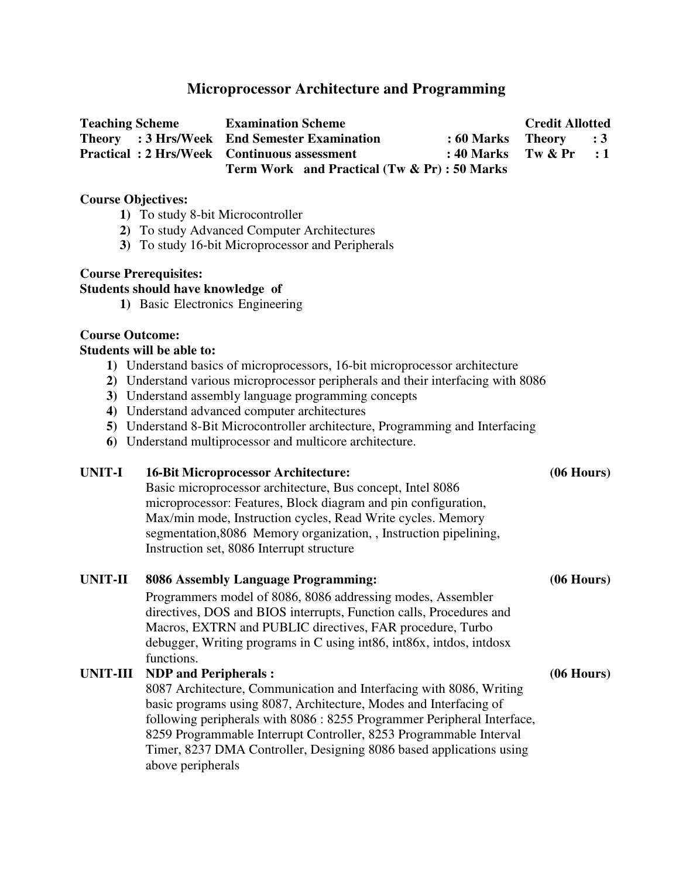# **Microprocessor Architecture and Programming**

| <b>Teaching Scheme</b>                             | <b>Examination Scheme</b>                    | <b>Credit Allotted</b>    |  |  |
|----------------------------------------------------|----------------------------------------------|---------------------------|--|--|
|                                                    | Theory : 3 Hrs/Week End Semester Examination | $: 60$ Marks Theory $: 3$ |  |  |
| <b>Practical: 2 Hrs/Week Continuous assessment</b> |                                              | : 40 Marks Tw $\&$ Pr : 1 |  |  |
|                                                    | Term Work and Practical (Tw & Pr) : 50 Marks |                           |  |  |

#### **Course Objectives:**

- **1)** To study 8-bit Microcontroller
- **2)** To study Advanced Computer Architectures
- **3)** To study 16-bit Microprocessor and Peripherals

### **Course Prerequisites:**

#### **Students should have knowledge of**

**1)** Basic Electronics Engineering

### **Course Outcome:**

#### **Students will be able to:**

- **1)** Understand basics of microprocessors, 16-bit microprocessor architecture
- **2)** Understand various microprocessor peripherals and their interfacing with 8086
- **3)** Understand assembly language programming concepts
- **4)** Understand advanced computer architectures
- **5)** Understand 8-Bit Microcontroller architecture, Programming and Interfacing
- **6)** Understand multiprocessor and multicore architecture.

#### **UNIT-I 16-Bit Microprocessor Architecture: (06 Hours)**

Basic microprocessor architecture, Bus concept, Intel 8086 microprocessor: Features, Block diagram and pin configuration, Max/min mode, Instruction cycles, Read Write cycles. Memory segmentation,8086 Memory organization, , Instruction pipelining, Instruction set, 8086 Interrupt structure

# **UNIT-II 8086 Assembly Language Programming: (06 Hours)**

Programmers model of 8086, 8086 addressing modes, Assembler directives, DOS and BIOS interrupts, Function calls, Procedures and Macros, EXTRN and PUBLIC directives, FAR procedure, Turbo debugger, Writing programs in C using int86, int86x, intdos, intdosx functions.

#### **UNIT-III NDP and Peripherals : (06 Hours)**

8087 Architecture, Communication and Interfacing with 8086, Writing basic programs using 8087, Architecture, Modes and Interfacing of following peripherals with 8086 : 8255 Programmer Peripheral Interface, 8259 Programmable Interrupt Controller, 8253 Programmable Interval Timer, 8237 DMA Controller, Designing 8086 based applications using above peripherals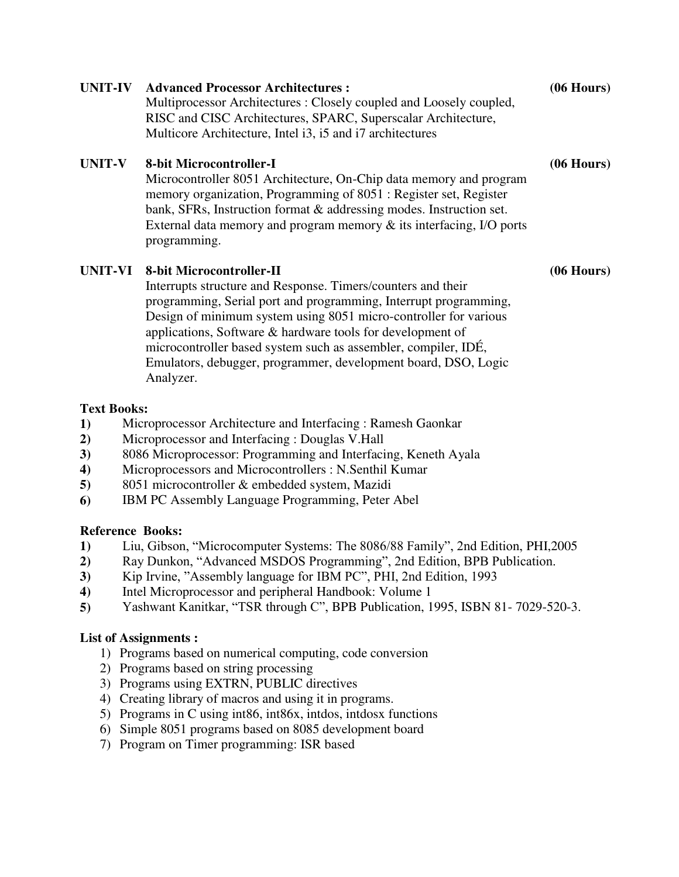| <b>UNIT-IV</b> | <b>Advanced Processor Architectures:</b><br>Multiprocessor Architectures: Closely coupled and Loosely coupled,<br>RISC and CISC Architectures, SPARC, Superscalar Architecture,<br>Multicore Architecture, Intel i3, i5 and i7 architectures                                                                                                                     | $(06$ Hours) |
|----------------|------------------------------------------------------------------------------------------------------------------------------------------------------------------------------------------------------------------------------------------------------------------------------------------------------------------------------------------------------------------|--------------|
| <b>UNIT-V</b>  | 8-bit Microcontroller-I<br>Microcontroller 8051 Architecture, On-Chip data memory and program<br>memory organization, Programming of 8051 : Register set, Register<br>bank, SFRs, Instruction format & addressing modes. Instruction set.<br>External data memory and program memory $\&$ its interfacing, I/O ports<br>programming.                             | $(06$ Hours) |
| <b>UNIT-VI</b> | 8-bit Microcontroller-II<br>Interrupts structure and Response. Timers/counters and their<br>programming, Serial port and programming, Interrupt programming,<br>Design of minimum system using 8051 micro-controller for various<br>applications, Software & hardware tools for development of<br>microcontroller based system such as assembler, compiler, IDÉ, | $(06$ Hours) |

Emulators, debugger, programmer, development board, DSO, Logic

**1)** Liu, Gibson, "Microcomputer Systems: The 8086/88 Family", 2nd Edition, PHI,2005 **2)** Ray Dunkon, "Advanced MSDOS Programming", 2nd Edition, BPB Publication.

**5)** Yashwant Kanitkar, "TSR through C", BPB Publication, 1995, ISBN 81- 7029-520-3.

**1)** Microprocessor Architecture and Interfacing : Ramesh Gaonkar

**4)** Microprocessors and Microcontrollers : N.Senthil Kumar

**4)** Intel Microprocessor and peripheral Handbook: Volume 1

1) Programs based on numerical computing, code conversion

5) Programs in C using int86, int86x, intdos, intdosx functions 6) Simple 8051 programs based on 8085 development board

2) Programs based on string processing

3) Programs using EXTRN, PUBLIC directives

7) Program on Timer programming: ISR based

4) Creating library of macros and using it in programs.

**3)** 8086 Microprocessor: Programming and Interfacing, Keneth Ayala

**3)** Kip Irvine, "Assembly language for IBM PC", PHI, 2nd Edition, 1993

**2)** Microprocessor and Interfacing : Douglas V.Hall

**5)** 8051 microcontroller & embedded system, Mazidi **6)** IBM PC Assembly Language Programming, Peter Abel

Analyzer.

**Text Books:** 

**Reference Books:** 

**List of Assignments :**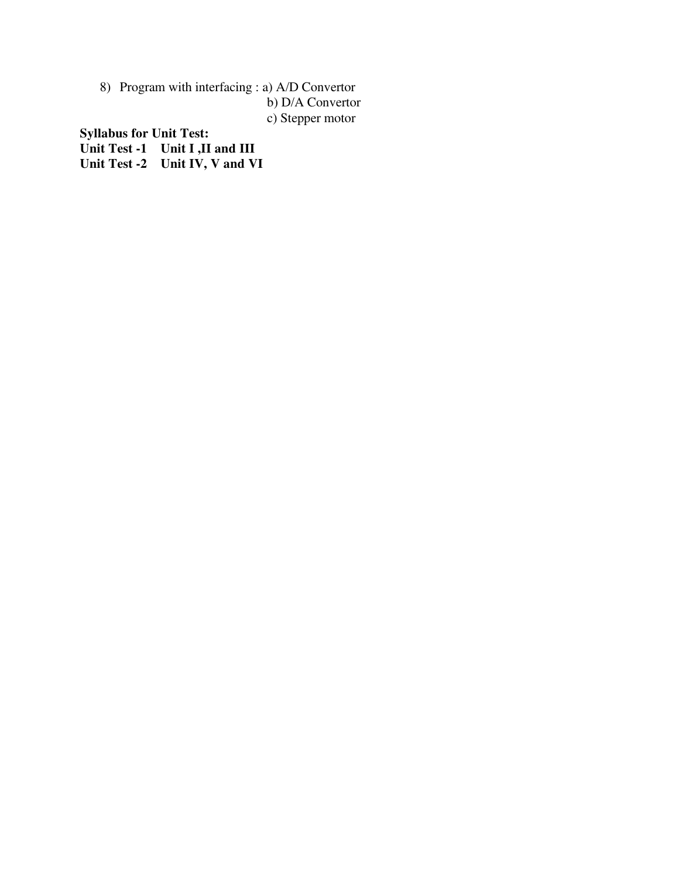8) Program with interfacing : a) A/D Convertor b) D/A Convertor

c) Stepper motor

**Syllabus for Unit Test:** 

**Unit Test -1 Unit I ,II and III** 

**Unit Test -2 Unit IV, V and VI**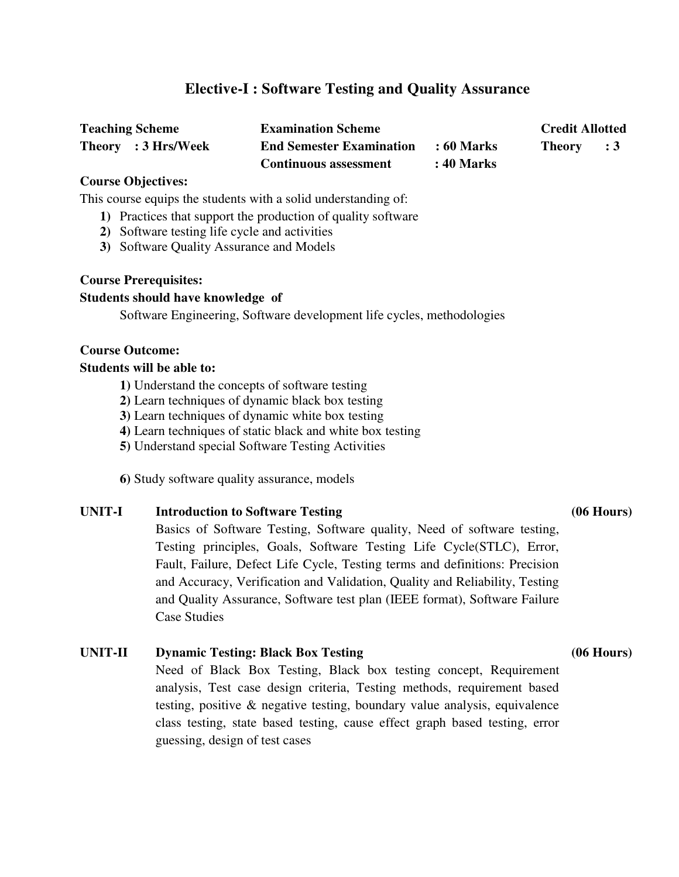# **Elective-I : Software Testing and Quality Assurance**

| <b>Teaching Scheme</b> | <b>Examination Scheme</b>       |                   | <b>Credit Allotted</b> |  |
|------------------------|---------------------------------|-------------------|------------------------|--|
| Theory : 3 Hrs/Week    | <b>End Semester Examination</b> | : 60 Marks        | Theory : 3             |  |
|                        | <b>Continuous assessment</b>    | <b>: 40 Marks</b> |                        |  |

### **Course Objectives:**

This course equips the students with a solid understanding of:

- **1)** Practices that support the production of quality software
- **2)** Software testing life cycle and activities
- **3)** Software Quality Assurance and Models

#### **Course Prerequisites:**

#### **Students should have knowledge of**

Software Engineering, Software development life cycles, methodologies

### **Course Outcome:**

#### **Students will be able to:**

- **1)** Understand the concepts of software testing
- **2)** Learn techniques of dynamic black box testing
- **3)** Learn techniques of dynamic white box testing
- **4)** Learn techniques of static black and white box testing
- **5)** Understand special Software Testing Activities

**6)** Study software quality assurance, models

**UNIT-I Introduction to Software Testing (06 Hours)**  Basics of Software Testing, Software quality, Need of software testing, Testing principles, Goals, Software Testing Life Cycle(STLC), Error, Fault, Failure, Defect Life Cycle, Testing terms and definitions: Precision and Accuracy, Verification and Validation, Quality and Reliability, Testing and Quality Assurance, Software test plan (IEEE format), Software Failure Case Studies

# **UNIT-II Dynamic Testing: Black Box Testing (06 Hours)**

Need of Black Box Testing, Black box testing concept, Requirement analysis, Test case design criteria, Testing methods, requirement based testing, positive & negative testing, boundary value analysis, equivalence class testing, state based testing, cause effect graph based testing, error guessing, design of test cases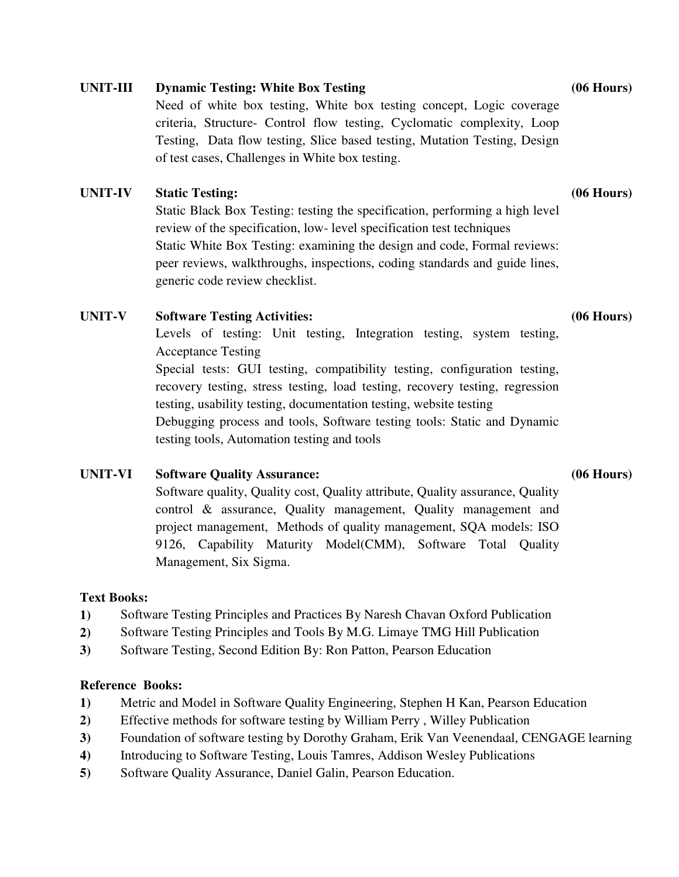# **UNIT-III Dynamic Testing: White Box Testing (06 Hours)**

Need of white box testing, White box testing concept, Logic coverage criteria, Structure- Control flow testing, Cyclomatic complexity, Loop Testing, Data flow testing, Slice based testing, Mutation Testing, Design of test cases, Challenges in White box testing.

# **UNIT-IV Static Testing: (06 Hours)**

Static Black Box Testing: testing the specification, performing a high level review of the specification, low- level specification test techniques Static White Box Testing: examining the design and code, Formal reviews: peer reviews, walkthroughs, inspections, coding standards and guide lines, generic code review checklist.

# **UNIT-V Software Testing Activities: (06 Hours)**

Levels of testing: Unit testing, Integration testing, system testing, Acceptance Testing Special tests: GUI testing, compatibility testing, configuration testing, recovery testing, stress testing, load testing, recovery testing, regression testing, usability testing, documentation testing, website testing Debugging process and tools, Software testing tools: Static and Dynamic testing tools, Automation testing and tools

# **UNIT-VI Software Quality Assurance: (06 Hours)**

Software quality, Quality cost, Quality attribute, Quality assurance, Quality control & assurance, Quality management, Quality management and project management, Methods of quality management, SQA models: ISO 9126, Capability Maturity Model(CMM), Software Total Quality Management, Six Sigma.

# **Text Books:**

- **1)** Software Testing Principles and Practices By Naresh Chavan Oxford Publication
- **2)** Software Testing Principles and Tools By M.G. Limaye TMG Hill Publication
- **3)** Software Testing, Second Edition By: Ron Patton, Pearson Education

# **Reference Books:**

- **1)** Metric and Model in Software Quality Engineering, Stephen H Kan, Pearson Education
- **2)** Effective methods for software testing by William Perry , Willey Publication
- **3)** Foundation of software testing by Dorothy Graham, Erik Van Veenendaal, CENGAGE learning
- **4)** Introducing to Software Testing, Louis Tamres, Addison Wesley Publications
- **5)** Software Quality Assurance, Daniel Galin, Pearson Education.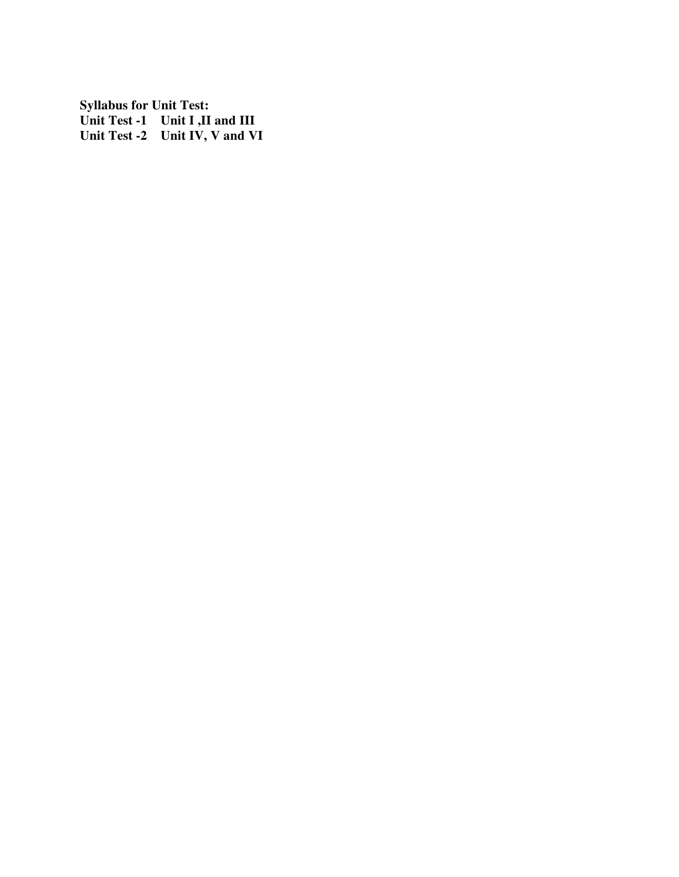**Syllabus for Unit Test: Unit Test -1 Unit I ,II and III Unit Test -2 Unit IV, V and VI**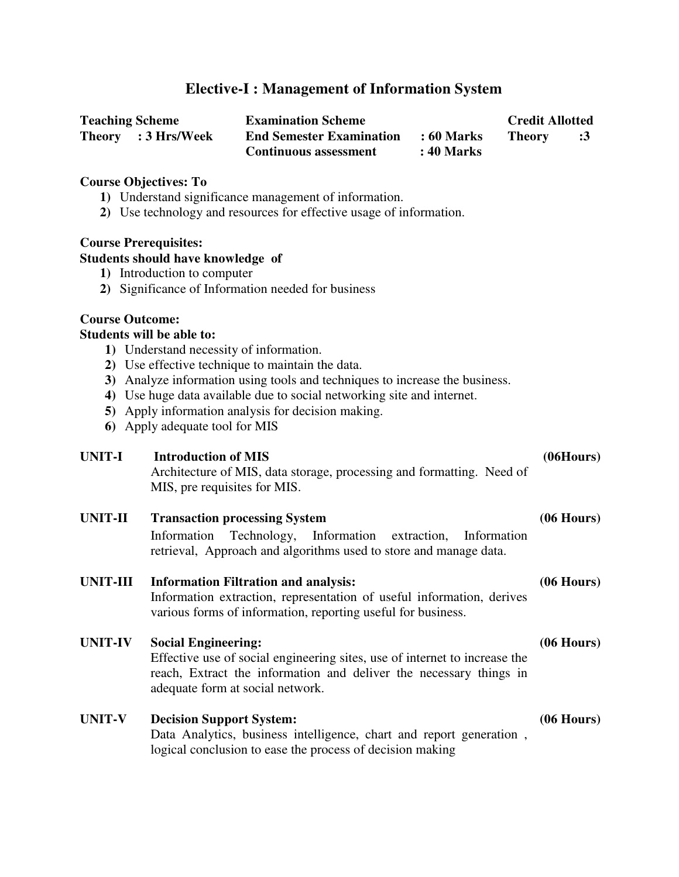# **Elective-I : Management of Information System**

| <b>Teaching Scheme</b> | <b>Examination Scheme</b>       |            | <b>Credit Allotted</b> |            |
|------------------------|---------------------------------|------------|------------------------|------------|
| Theory : 3 Hrs/Week    | <b>End Semester Examination</b> | : 60 Marks | <b>Theory</b>          | $\cdot$ :3 |
|                        | <b>Continuous assessment</b>    | : 40 Marks |                        |            |

#### **Course Objectives: To**

- **1)** Understand significance management of information.
- **2)** Use technology and resources for effective usage of information.

#### **Course Prerequisites:**

#### **Students should have knowledge of**

- **1)** Introduction to computer
- **2)** Significance of Information needed for business

#### **Course Outcome:**

#### **Students will be able to:**

- **1)** Understand necessity of information.
- **2)** Use effective technique to maintain the data.
- **3)** Analyze information using tools and techniques to increase the business.
- **4)** Use huge data available due to social networking site and internet.
- **5)** Apply information analysis for decision making.
- **6)** Apply adequate tool for MIS

### UNIT-I Introduction of MIS (06Hours)

Architecture of MIS, data storage, processing and formatting. Need of MIS, pre requisites for MIS.

# **UNIT-II Transaction processing System (06 Hours)**

Information Technology, Information extraction, Information retrieval, Approach and algorithms used to store and manage data.

### **UNIT-III Information Filtration and analysis: (06 Hours)**

Information extraction, representation of useful information, derives various forms of information, reporting useful for business.

### **UNIT-IV Social Engineering: (06 Hours)**

Effective use of social engineering sites, use of internet to increase the reach, Extract the information and deliver the necessary things in adequate form at social network.

# **UNIT-V Decision Support System: (06 Hours)** Data Analytics, business intelligence, chart and report generation , logical conclusion to ease the process of decision making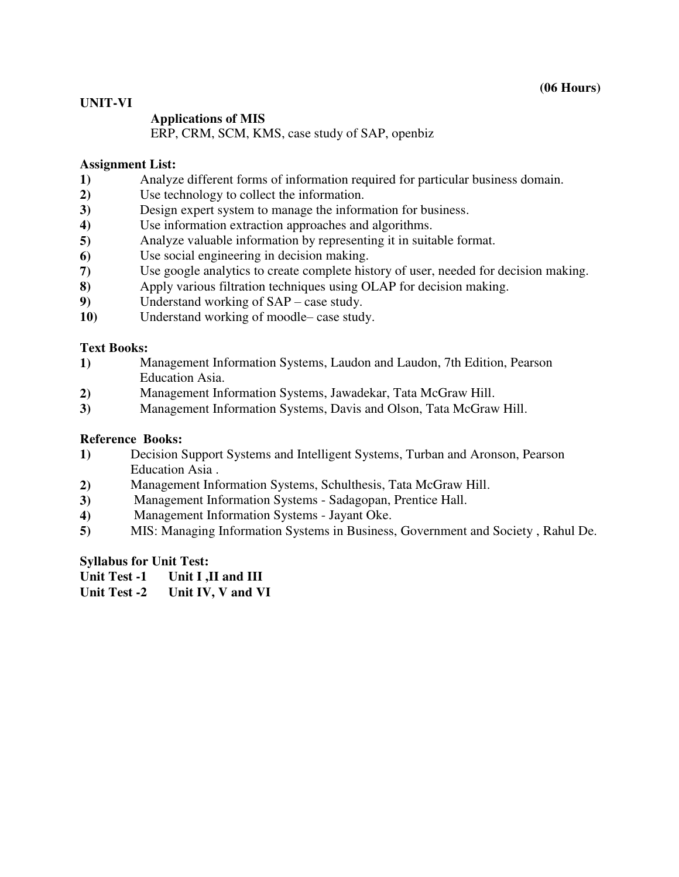### **UNIT-VI**

### **Applications of MIS**

ERP, CRM, SCM, KMS, case study of SAP, openbiz

### **Assignment List:**

- **1)** Analyze different forms of information required for particular business domain.
- **2)** Use technology to collect the information.
- **3)** Design expert system to manage the information for business.
- **4)** Use information extraction approaches and algorithms.
- **5)** Analyze valuable information by representing it in suitable format.
- **6)** Use social engineering in decision making.
- **7)** Use google analytics to create complete history of user, needed for decision making.
- **8)** Apply various filtration techniques using OLAP for decision making.
- **9)** Understand working of SAP case study.
- **10)** Understand working of moodle– case study.

### **Text Books:**

- **1)** Management Information Systems, Laudon and Laudon, 7th Edition, Pearson Education Asia.
- **2)** Management Information Systems, Jawadekar, Tata McGraw Hill.
- **3)** Management Information Systems, Davis and Olson, Tata McGraw Hill.

### **Reference Books:**

- **1)** Decision Support Systems and Intelligent Systems, Turban and Aronson, Pearson Education Asia .
- **2)** Management Information Systems, Schulthesis, Tata McGraw Hill.
- **3)** Management Information Systems Sadagopan, Prentice Hall.
- **4)** Management Information Systems Jayant Oke.
- **5)** MIS: Managing Information Systems in Business, Government and Society , [Rahul De.](http://www.amazon.in/s/ref=dp_byline_sr_book_1?ie=UTF8&field-author=Rahul+De&search-alias=stripbooks)

### **Syllabus for Unit Test:**

- **Unit Test -1 Unit I ,II and III**
- **Unit Test -2 Unit IV, V and VI**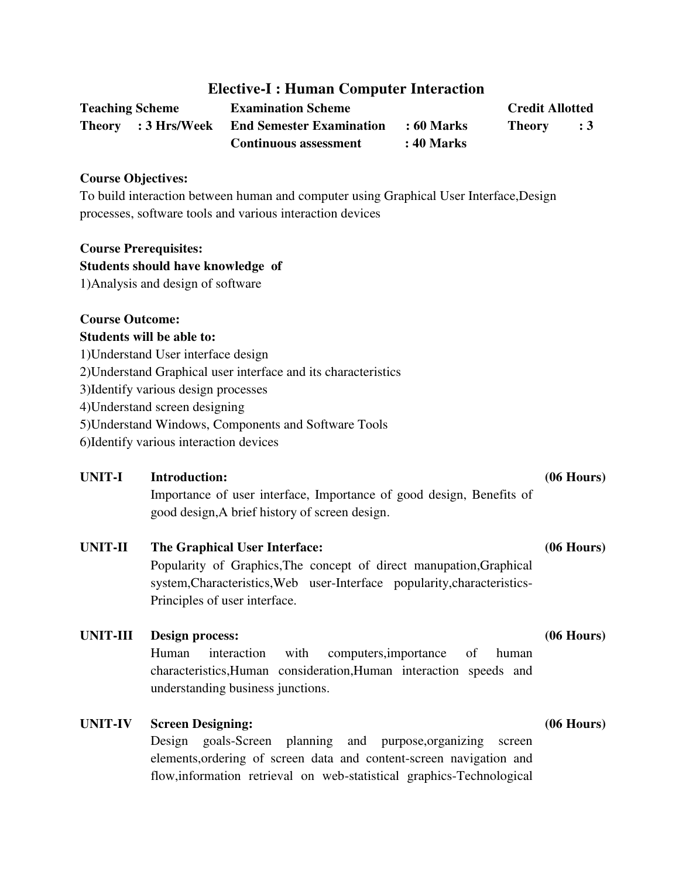# **Elective-I : Human Computer Interaction**

| <b>Teaching Scheme</b> | <b>Examination Scheme</b>                           |            | <b>Credit Allotted</b> |                |
|------------------------|-----------------------------------------------------|------------|------------------------|----------------|
|                        | <b>Theory</b> : 3 Hrs/Week End Semester Examination | : 60 Marks | <b>Theory</b>          | $\therefore$ 3 |
|                        | <b>Continuous assessment</b>                        | : 40 Marks |                        |                |

#### **Course Objectives:**

To build interaction between human and computer using Graphical User Interface,Design processes, software tools and various interaction devices

#### **Course Prerequisites:**

#### **Students should have knowledge of**

1)Analysis and design of software

### **Course Outcome:**

#### **Students will be able to:**

1)Understand User interface design 2)Understand Graphical user interface and its characteristics 3)Identify various design processes 4)Understand screen designing 5)Understand Windows, Components and Software Tools

6)Identify various interaction devices

# **UNIT-I Introduction: (06 Hours)**

Importance of user interface, Importance of good design, Benefits of good design,A brief history of screen design.

### **UNIT-II The Graphical User Interface: (06 Hours)**

Popularity of Graphics,The concept of direct manupation,Graphical system,Characteristics,Web user-Interface popularity,characteristics-Principles of user interface.

### **UNIT-III Design process: (06 Hours)**

Human interaction with computers,importance of human characteristics,Human consideration,Human interaction speeds and understanding business junctions.

### **UNIT-IV Screen Designing: (06 Hours)**

Design goals-Screen planning and purpose,organizing screen elements,ordering of screen data and content-screen navigation and flow,information retrieval on web-statistical graphics-Technological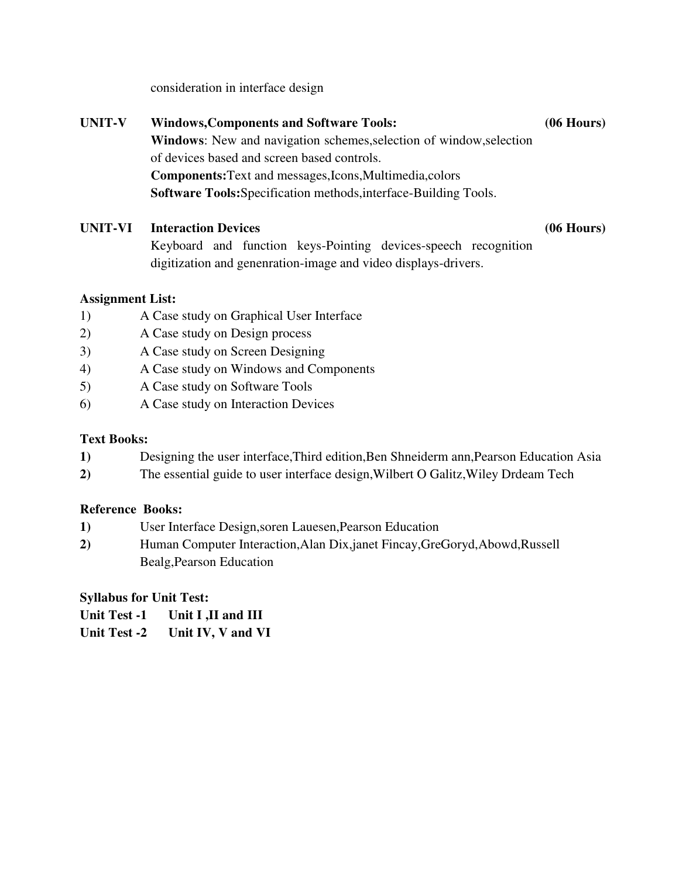consideration in interface design

## **UNIT-V Windows,Components and Software Tools: (06 Hours)**

**Windows**: New and navigation schemes,selection of window,selection of devices based and screen based controls. **Components:**Text and messages,Icons,Multimedia,colors **Software Tools:**Specification methods,interface-Building Tools.

# **UNIT-VI Interaction Devices (06 Hours)**

Keyboard and function keys-Pointing devices-speech recognition digitization and genenration-image and video displays-drivers.

# **Assignment List:**

- 1) A Case study on Graphical User Interface
- 2) A Case study on Design process
- 3) A Case study on Screen Designing
- 4) A Case study on Windows and Components
- 5) A Case study on Software Tools
- 6) A Case study on Interaction Devices

# **Text Books:**

- **1)** Designing the user interface,Third edition,Ben Shneiderm ann,Pearson Education Asia
- **2)** The essential guide to user interface design,Wilbert O Galitz,Wiley Drdeam Tech

# **Reference Books:**

- **1)** User Interface Design,soren Lauesen,Pearson Education
- **2)** Human Computer Interaction,Alan Dix,janet Fincay,GreGoryd,Abowd,Russell Bealg,Pearson Education

# **Syllabus for Unit Test:**

**Unit Test -1 Unit I ,II and III**

**Unit Test -2 Unit IV, V and VI**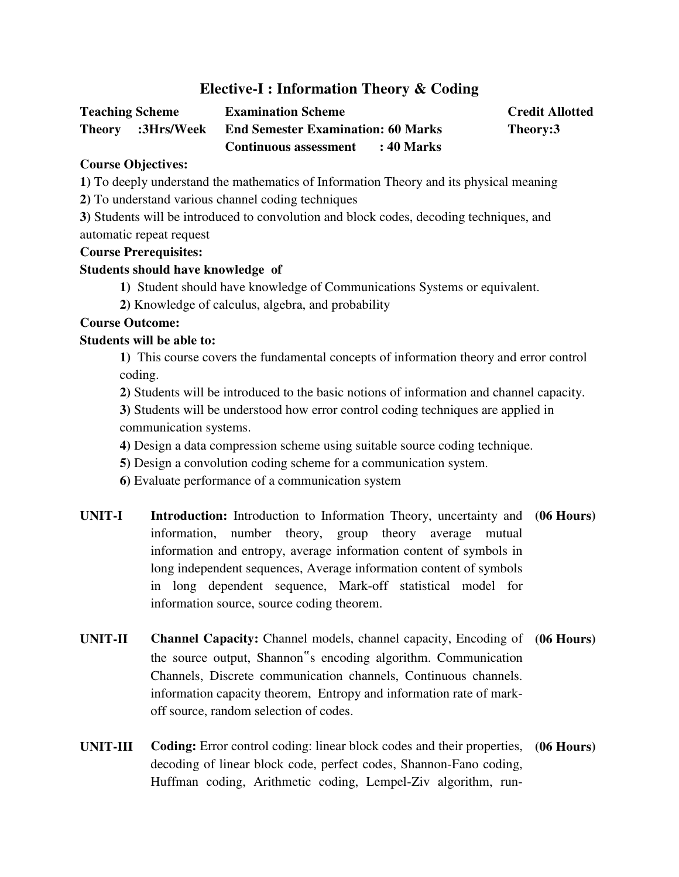# **Elective-I : Information Theory & Coding**

| <b>Teaching Scheme</b> |                   | <b>Examination Scheme</b>                 |            | <b>Credit Allotted</b> |
|------------------------|-------------------|-------------------------------------------|------------|------------------------|
|                        | Theory :3Hrs/Week | <b>End Semester Examination: 60 Marks</b> |            | Theory:3               |
|                        |                   | <b>Continuous assessment</b>              | : 40 Marks |                        |

### **Course Objectives:**

**1)** To deeply understand the mathematics of Information Theory and its physical meaning

**2)** To understand various channel coding techniques

**3)** Students will be introduced to convolution and block codes, decoding techniques, and automatic repeat request

# **Course Prerequisites:**

### **Students should have knowledge of**

- **1)** Student should have knowledge of Communications Systems or equivalent.
- **2)** Knowledge of calculus, algebra, and probability

# **Course Outcome:**

# **Students will be able to:**

**1)** This course covers the fundamental concepts of information theory and error control coding.

**2)** Students will be introduced to the basic notions of information and channel capacity.

**3)** Students will be understood how error control coding techniques are applied in communication systems.

**4)** Design a data compression scheme using suitable source coding technique.

- **5)** Design a convolution coding scheme for a communication system.
- **6)** Evaluate performance of a communication system
- **UNIT-I Introduction:** Introduction to Information Theory, uncertainty and **(06 Hours)**  information, number theory, group theory average mutual information and entropy, average information content of symbols in long independent sequences, Average information content of symbols in long dependent sequence, Mark-off statistical model for information source, source coding theorem.
- **UNIT-II Channel Capacity:** Channel models, channel capacity, Encoding of **(06 Hours)** the source output, Shannon"s encoding algorithm. Communication Channels, Discrete communication channels, Continuous channels. information capacity theorem, Entropy and information rate of markoff source, random selection of codes.
- **UNIT-III Coding:** Error control coding: linear block codes and their properties, **(06 Hours)** decoding of linear block code, perfect codes, Shannon-Fano coding, Huffman coding, Arithmetic coding, Lempel-Ziv algorithm, run-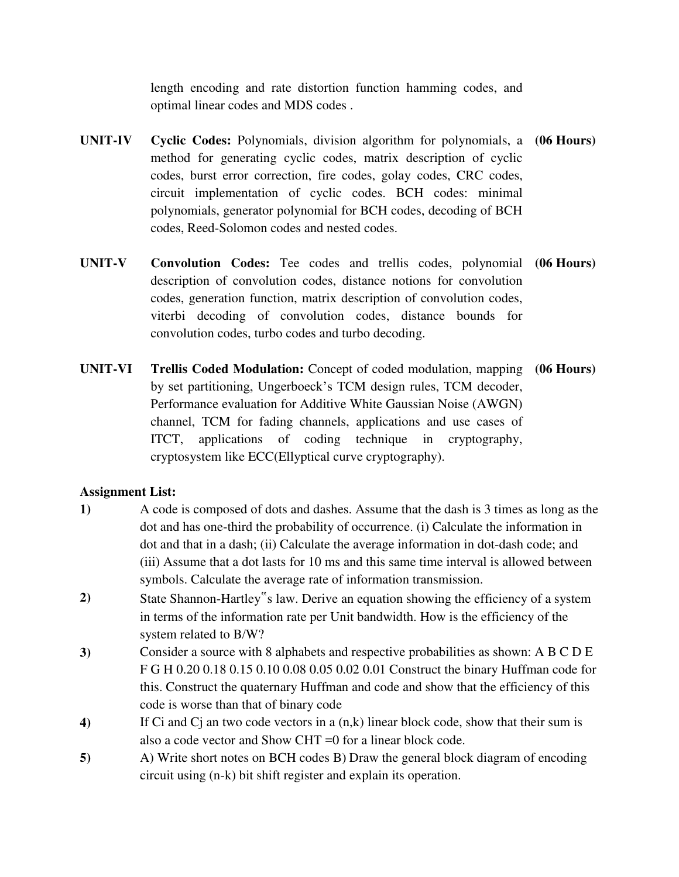length encoding and rate distortion function hamming codes, and optimal linear codes and MDS codes .

- **UNIT-IV Cyclic Codes:** Polynomials, division algorithm for polynomials, a **(06 Hours)**  method for generating cyclic codes, matrix description of cyclic codes, burst error correction, fire codes, golay codes, CRC codes, circuit implementation of cyclic codes. BCH codes: minimal polynomials, generator polynomial for BCH codes, decoding of BCH codes, Reed-Solomon codes and nested codes.
- **UNIT-V Convolution Codes:** Tee codes and trellis codes, polynomial **(06 Hours)** description of convolution codes, distance notions for convolution codes, generation function, matrix description of convolution codes, viterbi decoding of convolution codes, distance bounds for convolution codes, turbo codes and turbo decoding.
- **UNIT-VI Trellis Coded Modulation:** Concept of coded modulation, mapping **(06 Hours)** by set partitioning, Ungerboeck's TCM design rules, TCM decoder, Performance evaluation for Additive White Gaussian Noise (AWGN) channel, TCM for fading channels, applications and use cases of ITCT, applications of coding technique in cryptography, cryptosystem like ECC(Ellyptical curve cryptography).

### **Assignment List:**

- **1)** A code is composed of dots and dashes. Assume that the dash is 3 times as long as the dot and has one-third the probability of occurrence. (i) Calculate the information in dot and that in a dash; (ii) Calculate the average information in dot-dash code; and (iii) Assume that a dot lasts for 10 ms and this same time interval is allowed between symbols. Calculate the average rate of information transmission.
- **2)** State Shannon-Hartley"s law. Derive an equation showing the efficiency of a system in terms of the information rate per Unit bandwidth. How is the efficiency of the system related to B/W?
- **3)** Consider a source with 8 alphabets and respective probabilities as shown: A B C D E F G H 0.20 0.18 0.15 0.10 0.08 0.05 0.02 0.01 Construct the binary Huffman code for this. Construct the quaternary Huffman and code and show that the efficiency of this code is worse than that of binary code
- **4)** If Ci and Cj an two code vectors in a (n,k) linear block code, show that their sum is also a code vector and Show CHT =0 for a linear block code.
- **5)** A) Write short notes on BCH codes B) Draw the general block diagram of encoding circuit using (n-k) bit shift register and explain its operation.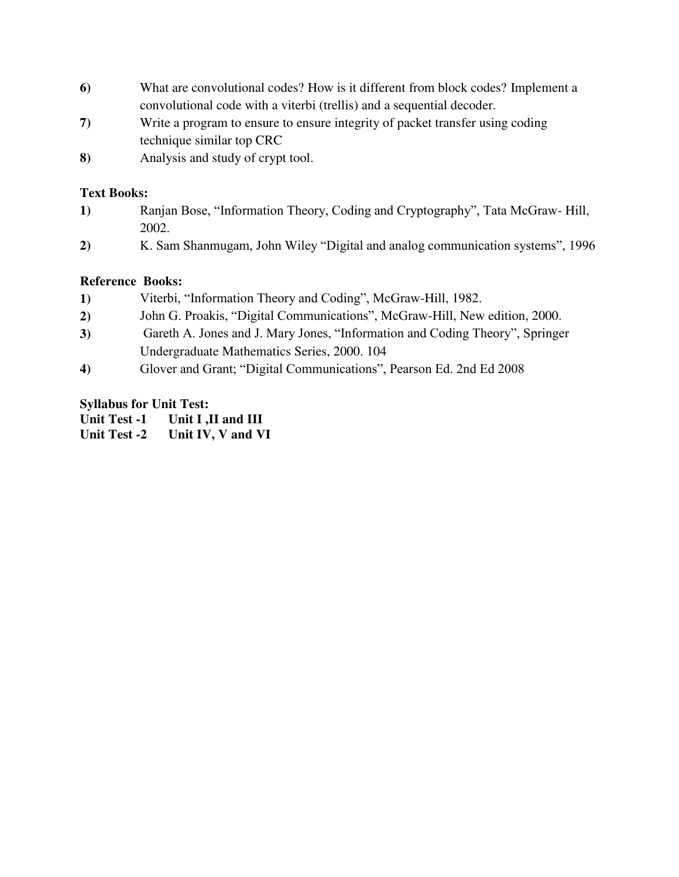- **6)** What are convolutional codes? How is it different from block codes? Implement a convolutional code with a viterbi (trellis) and a sequential decoder.
- **7)** Write a program to ensure to ensure integrity of packet transfer using coding technique similar top CRC
- **8)** Analysis and study of crypt tool.

# **Text Books:**

- **1)** Ranjan Bose, "Information Theory, Coding and Cryptography", Tata McGraw- Hill, 2002.
- **2)** K. Sam Shanmugam, John Wiley "Digital and analog communication systems", 1996

# **Reference Books:**

- **1)** Viterbi, "Information Theory and Coding", McGraw-Hill, 1982.
- **2)** John G. Proakis, "Digital Communications", McGraw-Hill, New edition, 2000.
- **3)** Gareth A. Jones and J. Mary Jones, "Information and Coding Theory", Springer Undergraduate Mathematics Series, 2000. 104
- **4)** Glover and Grant; "Digital Communications", Pearson Ed. 2nd Ed 2008

# **Syllabus for Unit Test:**

**Unit Test -1 Unit I ,II and III** 

**Unit Test -2 Unit IV, V and VI**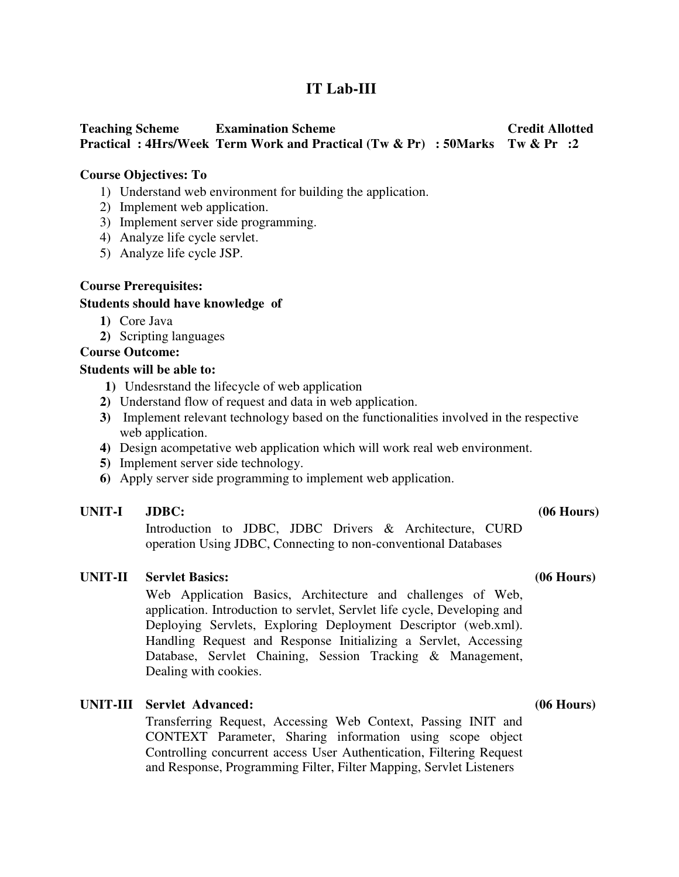# **IT Lab-III**

# **Teaching Scheme Examination Scheme Credit Allotted Practical : 4Hrs/Week Term Work and Practical (Tw & Pr) : 50Marks Tw & Pr :2**

#### **Course Objectives: To**

- 1) Understand web environment for building the application.
- 2) Implement web application.
- 3) Implement server side programming.
- 4) Analyze life cycle servlet.
- 5) Analyze life cycle JSP.

#### **Course Prerequisites:**

#### **Students should have knowledge of**

- **1)** Core Java
- **2)** Scripting languages

#### **Course Outcome:**

#### **Students will be able to:**

- **1)** Undesrstand the lifecycle of web application
- **2)** Understand flow of request and data in web application.
- **3)** Implement relevant technology based on the functionalities involved in the respective web application.
- **4)** Design acompetative web application which will work real web environment.
- **5)** Implement server side technology.
- **6)** Apply server side programming to implement web application.

#### UNIT-I JDBC: (06 Hours)

Introduction to JDBC, JDBC Drivers & Architecture, CURD operation Using JDBC, Connecting to non-conventional Databases

#### **UNIT-II Servlet Basics: (06 Hours)**

Web Application Basics, Architecture and challenges of Web, application. Introduction to servlet, Servlet life cycle, Developing and Deploying Servlets, Exploring Deployment Descriptor (web.xml). Handling Request and Response Initializing a Servlet, Accessing Database, Servlet Chaining, Session Tracking & Management, Dealing with cookies.

### **UNIT-III Servlet Advanced: (06 Hours)**

Transferring Request, Accessing Web Context, Passing INIT and CONTEXT Parameter, Sharing information using scope object Controlling concurrent access User Authentication, Filtering Request and Response, Programming Filter, Filter Mapping, Servlet Listeners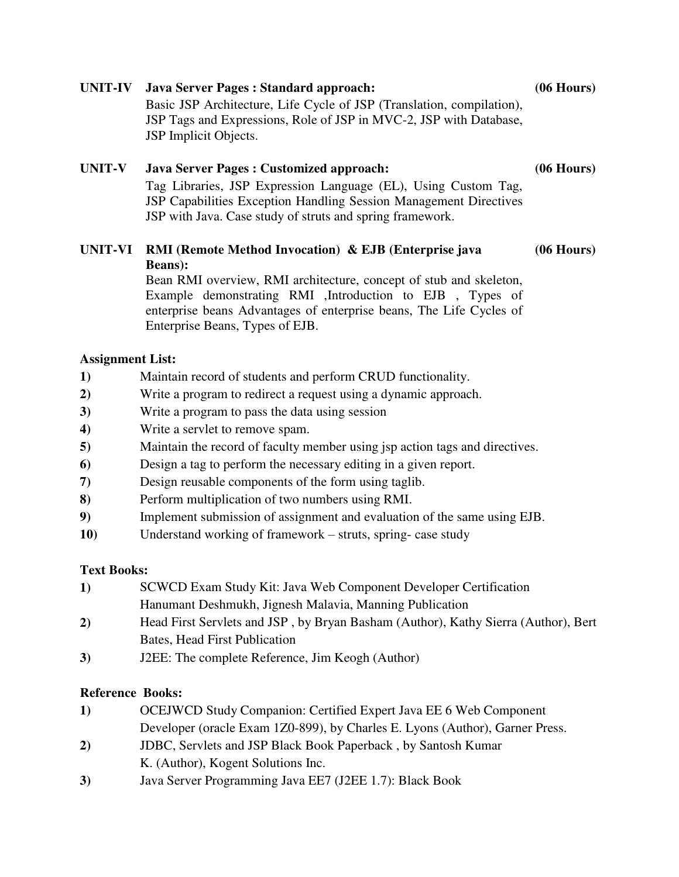# Basic JSP Architecture, Life Cycle of JSP (Translation, compilation), JSP Tags and Expressions, Role of JSP in MVC-2, JSP with Database, JSP Implicit Objects. **UNIT-V Java Server Pages : Customized approach: (06 Hours)** Tag Libraries, JSP Expression Language (EL), Using Custom Tag, JSP Capabilities Exception Handling Session Management Directives JSP with Java. Case study of struts and spring framework. **UNIT-VI RMI (Remote Method Invocation) & EJB (Enterprise java (06 Hours)**

**UNIT-IV Java Server Pages : Standard approach: (06 Hours)**

**Beans):** Bean RMI overview, RMI architecture, concept of stub and skeleton, Example demonstrating RMI ,Introduction to EJB , Types of enterprise beans Advantages of enterprise beans, The Life Cycles of Enterprise Beans, Types of EJB.

# **Assignment List:**

- **1)** Maintain record of students and perform CRUD functionality.
- **2)** Write a program to redirect a request using a dynamic approach.
- **3)** Write a program to pass the data using session
- **4)** Write a servlet to remove spam.
- **5)** Maintain the record of faculty member using jsp action tags and directives.
- **6)** Design a tag to perform the necessary editing in a given report.
- **7)** Design reusable components of the form using taglib.
- **8)** Perform multiplication of two numbers using RMI.
- **9)** Implement submission of assignment and evaluation of the same using EJB.
- **10)** Understand working of framework struts, spring- case study

# **Text Books:**

- **1)** SCWCD Exam Study Kit: Java Web Component Developer Certification [Hanumant Deshmukh,](http://www.goodreads.com/author/show/135369.Hanumant_Deshmukh) [Jignesh Malavia,](http://www.goodreads.com/author/show/135367.Jignesh_Malavia) Manning Publication
- **2)** Head First Servlets and JSP , by [Bryan Basham](http://www.amazon.in/s/ref=dp_byline_sr_book_1?ie=UTF8&field-author=Bryan+Basham&search-alias=stripbooks) (Author), [Kathy Sierra](http://www.amazon.in/s/ref=dp_byline_sr_book_2?ie=UTF8&field-author=Kathy+Sierra&search-alias=stripbooks) (Author), [Bert](http://www.amazon.in/Bert-Bates/e/B004APJL7O/ref=dp_byline_cont_book_3)  [Bates,](http://www.amazon.in/Bert-Bates/e/B004APJL7O/ref=dp_byline_cont_book_3) Head First Publication
- **3)** J2EE: The complete Reference, [Jim Keogh](http://www.amazon.in/s/ref=dp_byline_sr_book_1?ie=UTF8&field-author=Jim+Keogh&search-alias=stripbooks) (Author)

# **Reference Books:**

- **1)** OCEJWCD Study Companion: Certified Expert Java EE 6 Web Component Developer (oracle Exam 1Z0-899), by [Charles E. Lyons](http://www.amazon.in/s/ref=dp_byline_sr_book_1?ie=UTF8&field-author=Charles+E.+Lyons&search-alias=stripbooks) (Author), Garner Press.
- **2)** JDBC, Servlets and JSP Black Book Paperback , by [Santosh Kumar](http://www.amazon.in/s/ref=dp_byline_sr_book_1?ie=UTF8&field-author=Santosh+Kumar+K.&search-alias=stripbooks)  [K.](http://www.amazon.in/s/ref=dp_byline_sr_book_1?ie=UTF8&field-author=Santosh+Kumar+K.&search-alias=stripbooks) (Author), [Kogent Solutions Inc.](http://www.amazon.in/s/ref=dp_byline_sr_book_2?ie=UTF8&field-author=Kogent+Solutions+Inc.&search-alias=stripbooks)
- **3)** Java Server Programming Java EE7 (J2EE 1.7): Black Book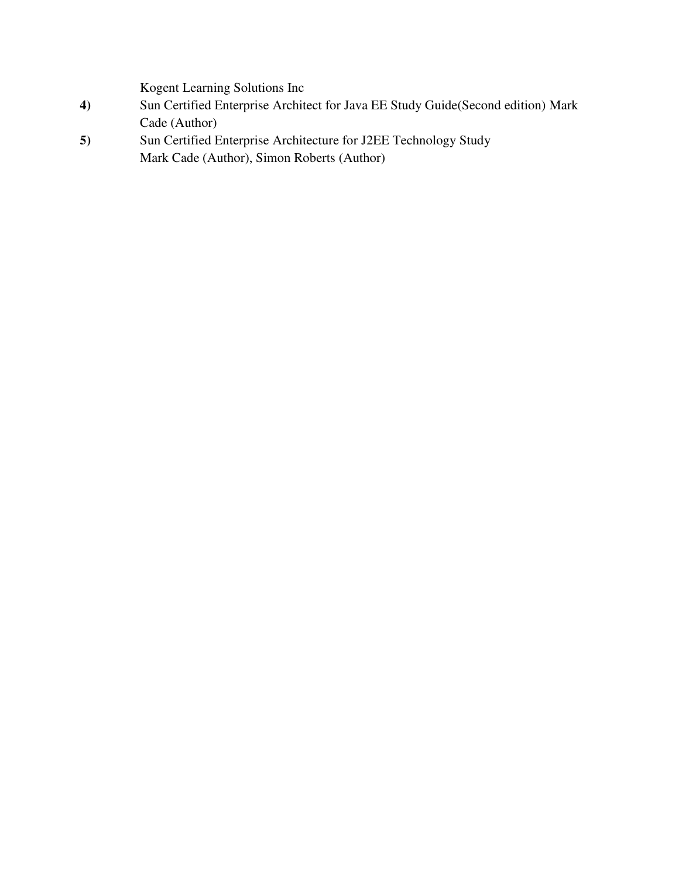[Kogent Learning Solutions Inc](http://www.amazon.in/s/ref=dp_byline_sr_book_1?ie=UTF8&field-author=Kogent+Learning+Solutions+Inc.&search-alias=stripbooks) 

- **4)** Sun Certified Enterprise Architect for Java EE Study Guide(Second edition) [Mark](http://www.amazon.in/s/ref=dp_byline_sr_book_1?ie=UTF8&field-author=Mark+Cade&search-alias=stripbooks)  [Cade](http://www.amazon.in/s/ref=dp_byline_sr_book_1?ie=UTF8&field-author=Mark+Cade&search-alias=stripbooks) (Author)
- **5)** Sun Certified Enterprise Architecture for J2EE Technology Study [Mark Cade](http://www.amazon.in/s/ref=dp_byline_sr_book_1?ie=UTF8&field-author=Mark+Cade&search-alias=stripbooks) (Author), [Simon Roberts](http://www.amazon.in/s/ref=dp_byline_sr_book_2?ie=UTF8&field-author=Simon+Roberts&search-alias=stripbooks) (Author)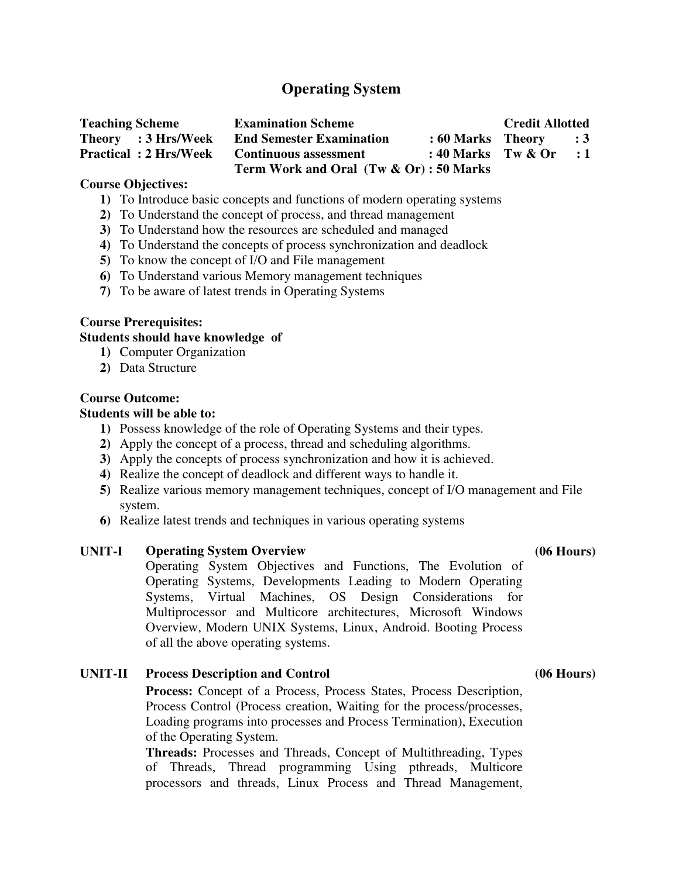# **Operating System**

| <b>Teaching Scheme</b>       | <b>Examination Scheme</b>              |                           | <b>Credit Allotted</b> |             |
|------------------------------|----------------------------------------|---------------------------|------------------------|-------------|
| Theory : 3 Hrs/Week          | <b>End Semester Examination</b>        | $: 60$ Marks Theory $: 3$ |                        |             |
| <b>Practical: 2 Hrs/Week</b> | <b>Continuous assessment</b>           | : 40 Marks Tw $\&$ Or     |                        | $\cdot$ : 1 |
|                              | Term Work and Oral (Tw & Or): 50 Marks |                           |                        |             |

#### **Course Objectives:**

- **1)** To Introduce basic concepts and functions of modern operating systems
- **2)** To Understand the concept of process, and thread management
- **3)** To Understand how the resources are scheduled and managed
- **4)** To Understand the concepts of process synchronization and deadlock
- **5)** To know the concept of I/O and File management
- **6)** To Understand various Memory management techniques
- **7)** To be aware of latest trends in Operating Systems

#### **Course Prerequisites:**

#### **Students should have knowledge of**

- **1)** Computer Organization
- **2)** Data Structure

#### **Course Outcome:**

### **Students will be able to:**

- **1)** Possess knowledge of the role of Operating Systems and their types.
- **2)** Apply the concept of a process, thread and scheduling algorithms.
- **3)** Apply the concepts of process synchronization and how it is achieved.
- **4)** Realize the concept of deadlock and different ways to handle it.
- **5)** Realize various memory management techniques, concept of I/O management and File system.
- **6)** Realize latest trends and techniques in various operating systems

### **UNIT-I Operating System Overview (06 Hours)**

Operating System Objectives and Functions, The Evolution of Operating Systems, Developments Leading to Modern Operating Systems, Virtual Machines, OS Design Considerations for Multiprocessor and Multicore architectures, Microsoft Windows Overview, Modern UNIX Systems, Linux, Android. Booting Process of all the above operating systems.

### **UNIT-II Process Description and Control (06 Hours)**

**Process:** Concept of a Process, Process States, Process Description, Process Control (Process creation, Waiting for the process/processes, Loading programs into processes and Process Termination), Execution of the Operating System.

**Threads:** Processes and Threads, Concept of Multithreading, Types of Threads, Thread programming Using pthreads, Multicore processors and threads, Linux Process and Thread Management,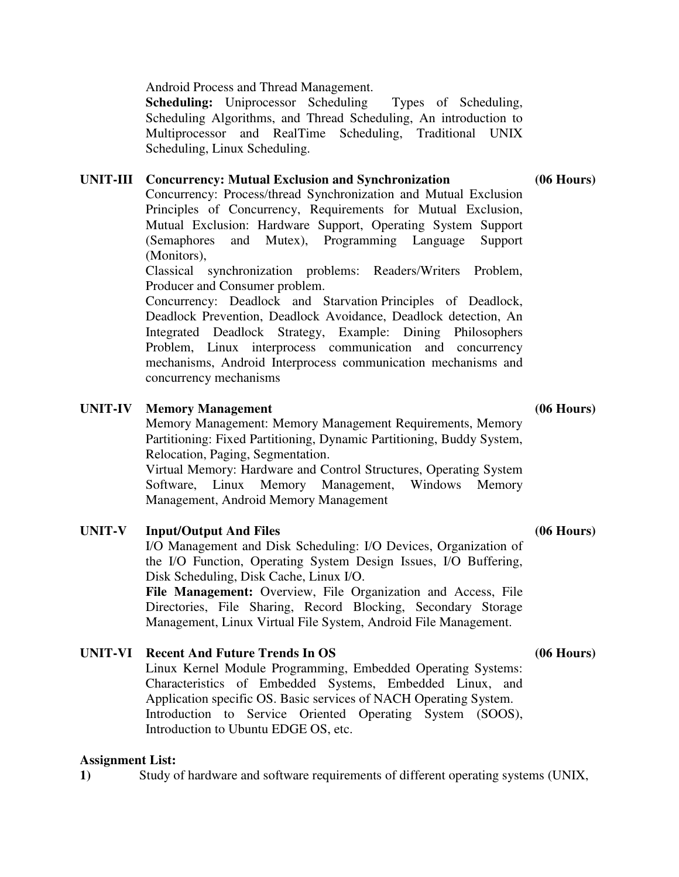Android Process and Thread Management.

**Scheduling:** Uniprocessor Scheduling Types of Scheduling, Scheduling Algorithms, and Thread Scheduling, An introduction to Multiprocessor and RealTime Scheduling, Traditional UNIX Scheduling, Linux Scheduling.

### **UNIT-III Concurrency: Mutual Exclusion and Synchronization (06 Hours)**

Concurrency: Process/thread Synchronization and Mutual Exclusion Principles of Concurrency, Requirements for Mutual Exclusion, Mutual Exclusion: Hardware Support, Operating System Support (Semaphores and Mutex), Programming Language Support (Monitors),

Classical synchronization problems: Readers/Writers Problem, Producer and Consumer problem.

Concurrency: Deadlock and Starvation Principles of Deadlock, Deadlock Prevention, Deadlock Avoidance, Deadlock detection, An Integrated Deadlock Strategy, Example: Dining Philosophers Problem, Linux interprocess communication and concurrency mechanisms, Android Interprocess communication mechanisms and concurrency mechanisms

#### **UNIT-IV Memory Management (06 Hours)**

Memory Management: Memory Management Requirements, Memory Partitioning: Fixed Partitioning, Dynamic Partitioning, Buddy System, Relocation, Paging, Segmentation.

Virtual Memory: Hardware and Control Structures, Operating System Software, Linux Memory Management, Windows Memory Management, Android Memory Management

### UNIT-V Input/Output And Files (06 Hours)

I/O Management and Disk Scheduling: I/O Devices, Organization of the I/O Function, Operating System Design Issues, I/O Buffering, Disk Scheduling, Disk Cache, Linux I/O.

**File Management:** Overview, File Organization and Access, File Directories, File Sharing, Record Blocking, Secondary Storage Management, Linux Virtual File System, Android File Management.

### **UNIT-VI Recent And Future Trends In OS (06 Hours)**

Linux Kernel Module Programming, Embedded Operating Systems: Characteristics of Embedded Systems, Embedded Linux, and Application specific OS. Basic services of NACH Operating System. Introduction to Service Oriented Operating System (SOOS), Introduction to Ubuntu EDGE OS, etc.

#### **Assignment List:**

**1)** Study of hardware and software requirements of different operating systems (UNIX,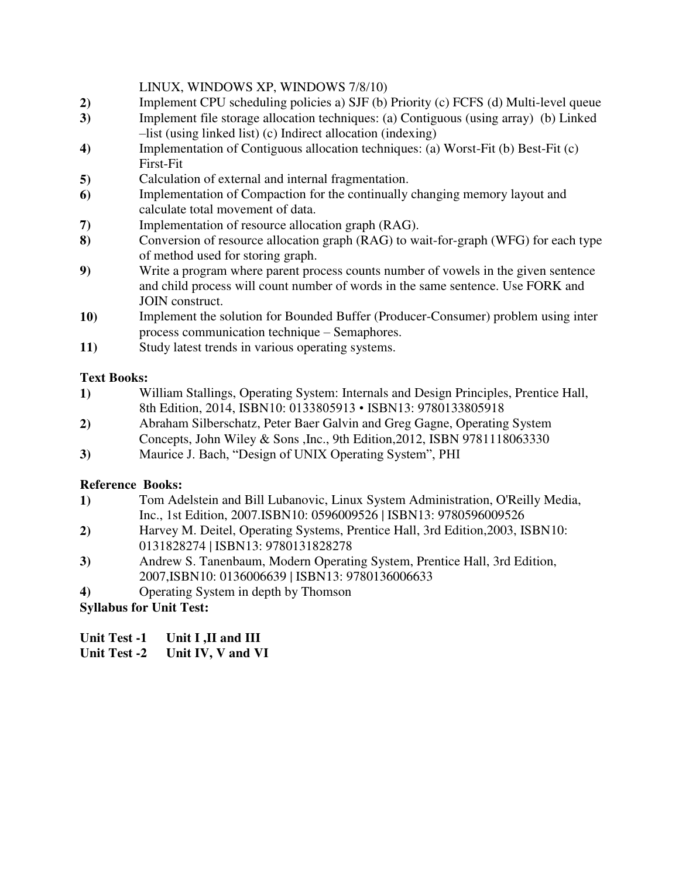## LINUX, WINDOWS XP, WINDOWS 7/8/10)

- **2)** Implement CPU scheduling policies a) SJF (b) Priority (c) FCFS (d) Multi-level queue
- **3)** Implement file storage allocation techniques: (a) Contiguous (using array) (b) Linked –list (using linked list) (c) Indirect allocation (indexing)
- **4)** Implementation of Contiguous allocation techniques: (a) Worst-Fit (b) Best-Fit (c) First-Fit
- **5)** Calculation of external and internal fragmentation.
- **6)** Implementation of Compaction for the continually changing memory layout and calculate total movement of data.
- **7)** Implementation of resource allocation graph (RAG).
- **8)** Conversion of resource allocation graph (RAG) to wait-for-graph (WFG) for each type of method used for storing graph.
- **9)** Write a program where parent process counts number of vowels in the given sentence and child process will count number of words in the same sentence. Use FORK and JOIN construct.
- **10)** Implement the solution for Bounded Buffer (Producer-Consumer) problem using inter process communication technique – Semaphores.
- **11)** Study latest trends in various operating systems.

# **Text Books:**

- **1)** William Stallings, Operating System: Internals and Design Principles, Prentice Hall, 8th Edition, 2014, ISBN10: 0133805913 • ISBN13: 9780133805918
- **2)** Abraham Silberschatz, Peter Baer Galvin and Greg Gagne, Operating System Concepts, John Wiley & Sons ,Inc., 9th Edition,2012, ISBN 9781118063330
- **3)** Maurice J. Bach, "Design of UNIX Operating System", PHI

# **Reference Books:**

- **1)** Tom Adelstein and Bill Lubanovic, Linux System Administration, O'Reilly Media, Inc., 1st Edition, 2007.ISBN10: 0596009526 | ISBN13: 9780596009526
- **2)** Harvey M. Deitel, Operating Systems, Prentice Hall, 3rd Edition,2003, ISBN10: 0131828274 | ISBN13: 9780131828278
- **3)** Andrew S. Tanenbaum, Modern Operating System, Prentice Hall, 3rd Edition, 2007,ISBN10: 0136006639 | ISBN13: 9780136006633
- **4)** Operating System in depth by Thomson

**Syllabus for Unit Test:** 

**Unit Test -1 Unit I ,II and III** 

# **Unit Test -2 Unit IV, V and VI**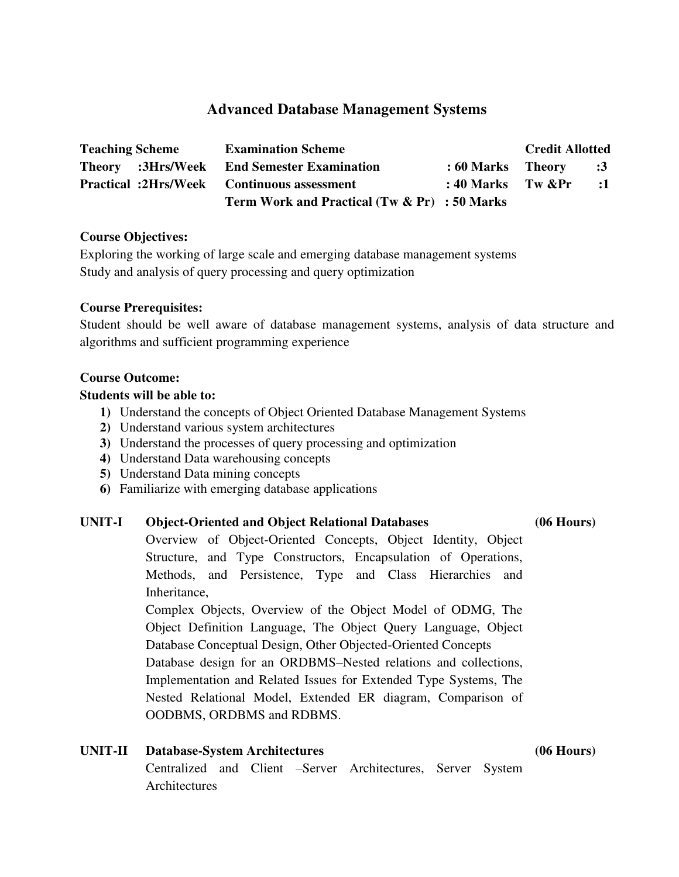# **Advanced Database Management Systems**

| <b>Teaching Scheme</b> | <b>Examination Scheme</b>                         |                    | <b>Credit Allotted</b> |            |
|------------------------|---------------------------------------------------|--------------------|------------------------|------------|
|                        | <b>Theory</b> :3Hrs/Week End Semester Examination | : 60 Marks Theory  |                        | $\cdot$ :3 |
|                        | <b>Practical :2Hrs/Week Continuous assessment</b> | : 40 Marks Tw $\⪻$ |                        | $\cdot$ :1 |
|                        | Term Work and Practical (Tw & Pr) : 50 Marks      |                    |                        |            |

#### **Course Objectives:**

Exploring the working of large scale and emerging database management systems Study and analysis of query processing and query optimization

### **Course Prerequisites:**

Student should be well aware of database management systems, analysis of data structure and algorithms and sufficient programming experience

#### **Course Outcome:**

#### **Students will be able to:**

- **1)** Understand the concepts of Object Oriented Database Management Systems
- **2)** Understand various system architectures
- **3)** Understand the processes of query processing and optimization
- **4)** Understand Data warehousing concepts
- **5)** Understand Data mining concepts
- **6)** Familiarize with emerging database applications

#### **UNIT-I Object-Oriented and Object Relational Databases (06 Hours)**

Overview of Object-Oriented Concepts, Object Identity, Object Structure, and Type Constructors, Encapsulation of Operations, Methods, and Persistence, Type and Class Hierarchies and Inheritance,

Complex Objects, Overview of the Object Model of ODMG, The Object Definition Language, The Object Query Language, Object Database Conceptual Design, Other Objected-Oriented Concepts Database design for an ORDBMS–Nested relations and collections, Implementation and Related Issues for Extended Type Systems, The Nested Relational Model, Extended ER diagram, Comparison of OODBMS, ORDBMS and RDBMS.

**UNIT-II Database-System Architectures (06 Hours)** Centralized and Client –Server Architectures, Server System **Architectures**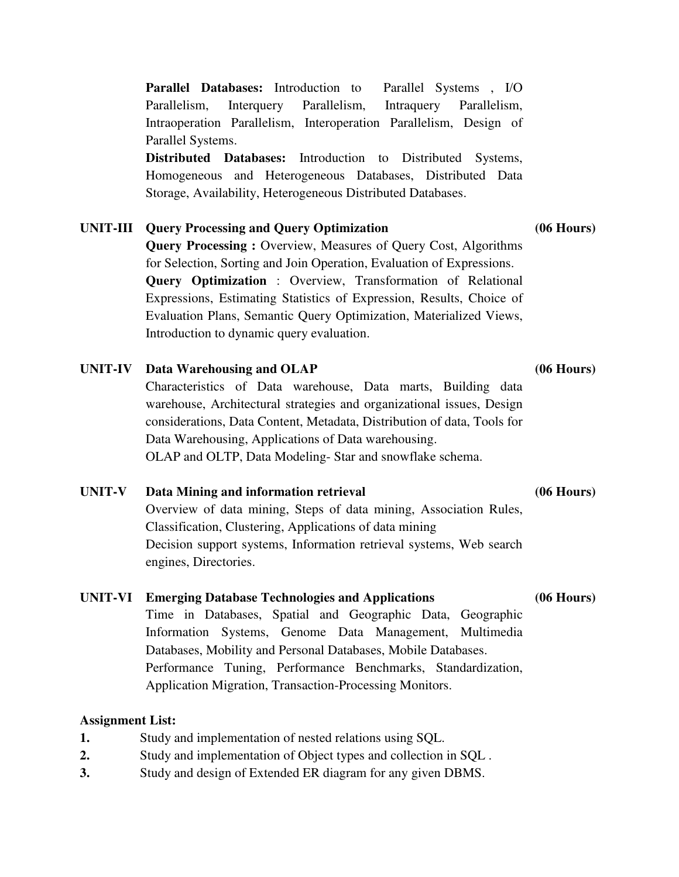**Parallel Databases:** Introduction to Parallel Systems , I/O Parallelism, Interquery Parallelism, Intraquery Parallelism, Intraoperation Parallelism, Interoperation Parallelism, Design of Parallel Systems.

**Distributed Databases:** Introduction to Distributed Systems, Homogeneous and Heterogeneous Databases, Distributed Data Storage, Availability, Heterogeneous Distributed Databases.

# **UNIT-III Query Processing and Query Optimization (06 Hours)**

**Query Processing :** Overview, Measures of Query Cost, Algorithms for Selection, Sorting and Join Operation, Evaluation of Expressions. **Query Optimization** : Overview, Transformation of Relational Expressions, Estimating Statistics of Expression, Results, Choice of Evaluation Plans, Semantic Query Optimization, Materialized Views, Introduction to dynamic query evaluation.

# **UNIT-IV Data Warehousing and OLAP (06 Hours)**

Characteristics of Data warehouse, Data marts, Building data warehouse, Architectural strategies and organizational issues, Design considerations, Data Content, Metadata, Distribution of data, Tools for Data Warehousing, Applications of Data warehousing. OLAP and OLTP, Data Modeling- Star and snowflake schema.

# **UNIT-V Data Mining and information retrieval (06 Hours)**

Overview of data mining, Steps of data mining, Association Rules, Classification, Clustering, Applications of data mining Decision support systems, Information retrieval systems, Web search engines, Directories.

# **UNIT-VI Emerging Database Technologies and Applications (06 Hours)**

Time in Databases, Spatial and Geographic Data, Geographic Information Systems, Genome Data Management, Multimedia Databases, Mobility and Personal Databases, Mobile Databases. Performance Tuning, Performance Benchmarks, Standardization, Application Migration, Transaction-Processing Monitors.

# **Assignment List:**

- **1.** Study and implementation of nested relations using SQL.
- **2.** Study and implementation of Object types and collection in SQL .
- **3.** Study and design of Extended ER diagram for any given DBMS.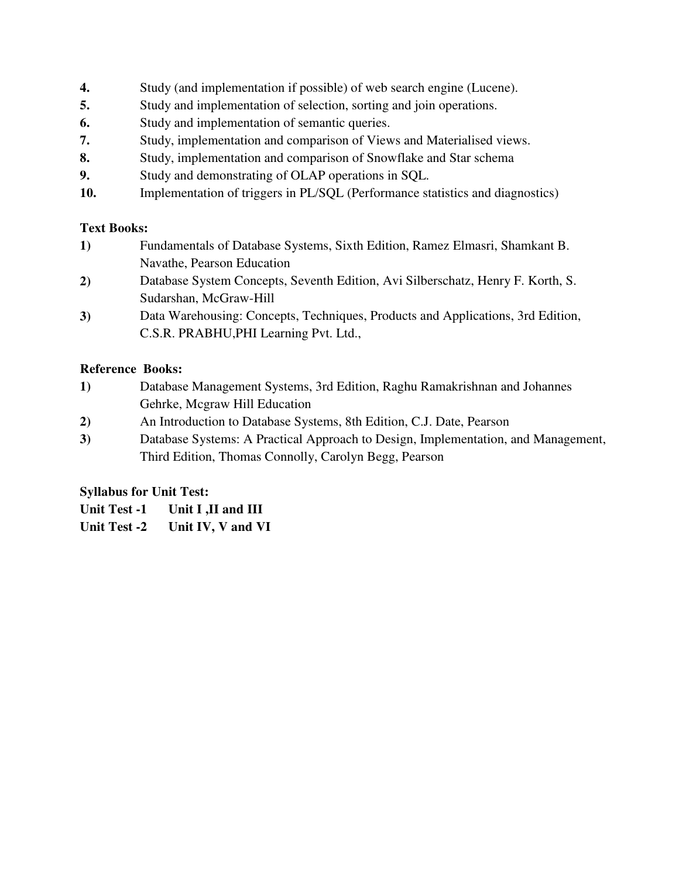- **4.** Study (and implementation if possible) of web search engine (Lucene).
- **5.** Study and implementation of selection, sorting and join operations.
- **6.** Study and implementation of semantic queries.
- **7.** Study, implementation and comparison of Views and Materialised views.
- **8.** Study, implementation and comparison of Snowflake and Star schema
- **9.** Study and demonstrating of OLAP operations in SQL.
- **10.** Implementation of triggers in PL/SQL (Performance statistics and diagnostics)

# **Text Books:**

- **1)** Fundamentals of Database Systems, Sixth Edition, Ramez Elmasri, Shamkant B. Navathe, Pearson Education
- **2)** Database System Concepts, Seventh Edition, Avi Silberschatz, Henry F. Korth, S. Sudarshan, McGraw-Hill
- **3)** Data Warehousing: Concepts, Techniques, Products and Applications, 3rd Edition, C.S.R. PRABHU,PHI Learning Pvt. Ltd.,

# **Reference Books:**

- **1)** Database Management Systems, 3rd Edition, Raghu Ramakrishnan and Johannes Gehrke, Mcgraw Hill Education
- **2)** An Introduction to Database Systems, 8th Edition, C.J. Date, Pearson
- **3)** Database Systems: A Practical Approach to Design, Implementation, and Management, Third Edition, Thomas Connolly, Carolyn Begg, Pearson

# **Syllabus for Unit Test:**

**Unit Test -1 Unit I ,II and III**

**Unit Test -2 Unit IV, V and VI**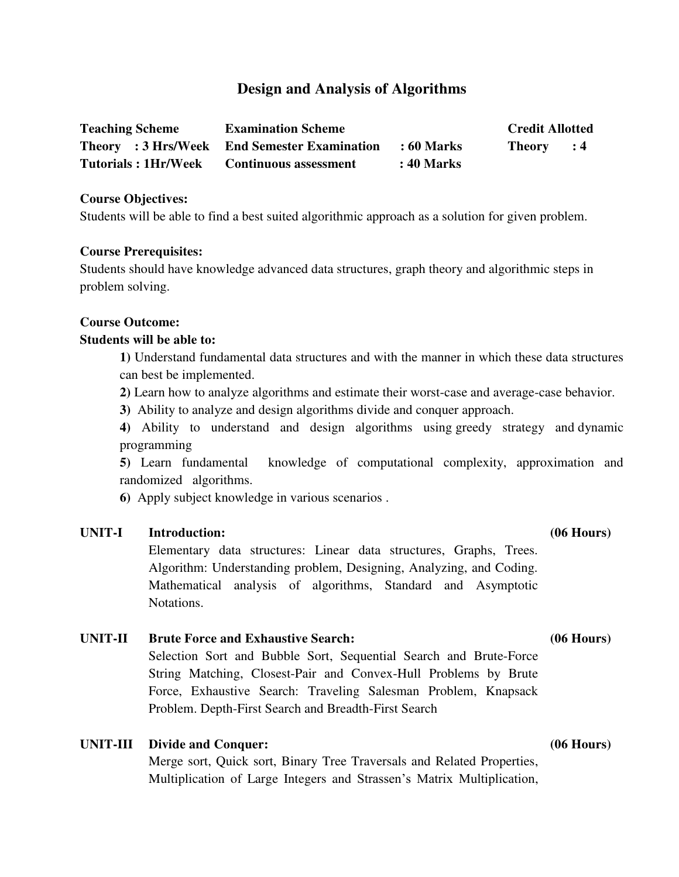# **Design and Analysis of Algorithms**

| <b>Teaching Scheme</b>     | <b>Examination Scheme</b>                    |            | <b>Credit Allotted</b> |                |
|----------------------------|----------------------------------------------|------------|------------------------|----------------|
|                            | Theory : 3 Hrs/Week End Semester Examination | : 60 Marks | <b>Theory</b>          | $\therefore$ 4 |
| <b>Tutorials: 1Hr/Week</b> | <b>Continuous assessment</b>                 | : 40 Marks |                        |                |

#### **Course Objectives:**

Students will be able to find a best suited algorithmic approach as a solution for given problem.

#### **Course Prerequisites:**

Students should have knowledge advanced data structures, graph theory and algorithmic steps in problem solving.

#### **Course Outcome:**

#### **Students will be able to:**

**1)** Understand fundamental data structures and with the manner in which these data structures can best be implemented.

**2)** Learn how to analyze algorithms and estimate their worst-case and average-case behavior.

**3)** Ability to analyze and design algorithms divide and conquer approach.

**4)** Ability to understand and design algorithms using greedy strategy and dynamic programming

**5)** Learn fundamental knowledge of computational complexity, approximation and randomized algorithms.

**6)** Apply subject knowledge in various scenarios .

### **UNIT-I Introduction: (06 Hours)**

Elementary data structures: Linear data structures, Graphs, Trees. Algorithm: Understanding problem, Designing, Analyzing, and Coding. Mathematical analysis of algorithms, Standard and Asymptotic Notations.

### **UNIT-II Brute Force and Exhaustive Search: (06 Hours)**

Selection Sort and Bubble Sort, Sequential Search and Brute-Force String Matching, Closest-Pair and Convex-Hull Problems by Brute Force, Exhaustive Search: Traveling Salesman Problem, Knapsack Problem. Depth-First Search and Breadth-First Search

### **UNIT-III Divide and Conquer: (06 Hours)**

Merge sort, Quick sort, Binary Tree Traversals and Related Properties, Multiplication of Large Integers and Strassen's Matrix Multiplication,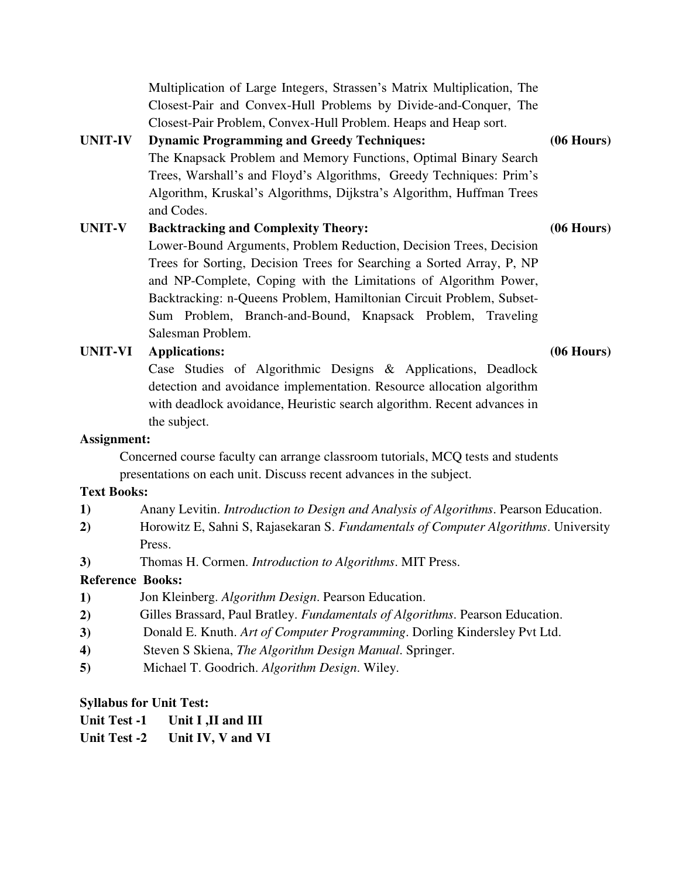Multiplication of Large Integers, Strassen's Matrix Multiplication, The Closest-Pair and Convex-Hull Problems by Divide-and-Conquer, The Closest-Pair Problem, Convex-Hull Problem. Heaps and Heap sort. **UNIT-IV Dynamic Programming and Greedy Techniques: (06 Hours)** The Knapsack Problem and Memory Functions, Optimal Binary Search Trees, Warshall's and Floyd's Algorithms, Greedy Techniques: Prim's Algorithm, Kruskal's Algorithms, Dijkstra's Algorithm, Huffman Trees

**UNIT-V Backtracking and Complexity Theory: (06 Hours)** Lower-Bound Arguments, Problem Reduction, Decision Trees, Decision Trees for Sorting, Decision Trees for Searching a Sorted Array, P, NP and NP-Complete, Coping with the Limitations of Algorithm Power, Backtracking: n-Queens Problem, Hamiltonian Circuit Problem, Subset-Sum Problem, Branch-and-Bound, Knapsack Problem, Traveling Salesman Problem.

#### **UNIT-VI Applications: (06 Hours)**

and Codes.

Case Studies of Algorithmic Designs & Applications, Deadlock detection and avoidance implementation. Resource allocation algorithm with deadlock avoidance, Heuristic search algorithm. Recent advances in the subject.

#### **Assignment:**

Concerned course faculty can arrange classroom tutorials, MCQ tests and students presentations on each unit. Discuss recent advances in the subject.

#### **Text Books:**

- **1)** Anany Levitin. *Introduction to Design and Analysis of Algorithms*. Pearson Education.
- **2)** [Horowitz](http://www.amazon.in/Ellis-Horowitz/e/B001HCW8VO/ref=dp_byline_cont_book_1) E, [Sahni](http://www.amazon.in/Sartaj-Sahni/e/B0028AGG80/ref=dp_byline_cont_book_2) S, [Rajasekaran](http://www.amazon.in/s/ref=dp_byline_sr_book_3?ie=UTF8&field-author=Sanguthevar+Rajasekaran&search-alias=stripbooks) S. *Fundamentals of Computer Algorithms*. University Press.
- **3)** [Thomas H. Cormen.](http://www.amazon.in/Thomas-H.-Cormen/e/B000AQ24AS/ref=dp_byline_cont_book_1) *Introduction to Algorithms*. MIT Press.

#### **Reference Books:**

- **1)** [Jon Kleinberg.](http://www.amazon.in/s/ref=dp_byline_sr_book_1?ie=UTF8&field-author=Jon+Kleinberg&search-alias=stripbooks) *Algorithm Design*. Pearson Education.
- **2)** [Gilles Brassard,](http://www.amazon.in/s/ref=dp_byline_sr_book_1?ie=UTF8&field-author=Gilles+Brassard&search-alias=stripbooks) [Paul Bratley.](http://www.amazon.in/s/ref=dp_byline_sr_book_2?ie=UTF8&field-author=Paul+Bratley&search-alias=stripbooks) *Fundamentals of Algorithms*. Pearson Education.
- **3)** [Donald E. Knuth.](http://www.amazon.in/s/ref=dp_byline_sr_book_1?ie=UTF8&field-author=Donald+E.+Knuth&search-alias=stripbooks) *Art of Computer Programming*. Dorling Kindersley Pvt Ltd.
- **4)** [Steven S Skiena,](http://www.amazon.in/s/ref=dp_byline_sr_book_1?ie=UTF8&field-author=Steven+S+Skiena&search-alias=stripbooks) *The Algorithm Design Manual*. Springer.
- **5)** [Michael T. Goodrich.](http://www.amazon.in/Michael-T.-Goodrich/e/B001ITYBE8/ref=dp_byline_cont_book_1) *Algorithm Design*. Wiley.

#### **Syllabus for Unit Test:**

**Unit Test -2 Unit IV, V and VI**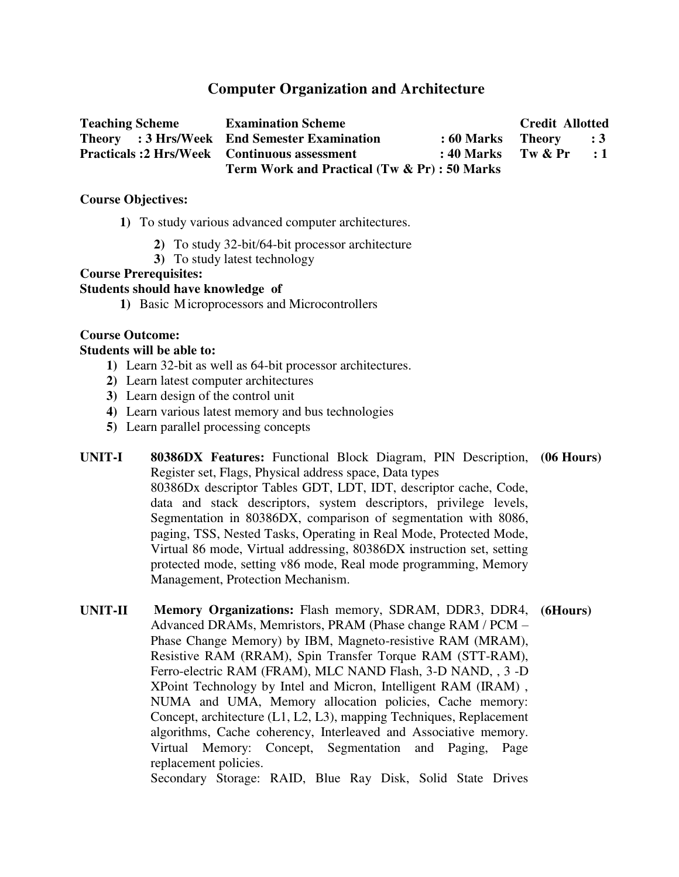# **Computer Organization and Architecture**

| <b>Teaching Scheme</b>                             | <b>Examination Scheme</b>                    |                           | <b>Credit Allotted</b> |            |
|----------------------------------------------------|----------------------------------------------|---------------------------|------------------------|------------|
|                                                    | Theory : 3 Hrs/Week End Semester Examination | $: 60$ Marks Theory $: 3$ |                        |            |
| <b>Practicals:2 Hrs/Week Continuous assessment</b> |                                              | $: 40$ Marks Tw & Pr      |                        | $\cdot$ :1 |
|                                                    | Term Work and Practical (Tw & Pr) : 50 Marks |                           |                        |            |

#### **Course Objectives:**

- **1)** To study various advanced computer architectures.
	- **2)** To study 32-bit/64-bit processor architecture
	- **3)** To study latest technology

## **Course Prerequisites:**

### **Students should have knowledge of**

**1)** Basic Microprocessors and Microcontrollers

# **Course Outcome:**

#### **Students will be able to:**

- **1)** Learn 32-bit as well as 64-bit processor architectures.
- **2)** Learn latest computer architectures
- **3)** Learn design of the control unit
- **4)** Learn various latest memory and bus technologies
- **5)** Learn parallel processing concepts
- **UNIT-I 80386DX Features:** Functional Block Diagram, PIN Description, **(06 Hours)**  Register set, Flags, Physical address space, Data types 80386Dx descriptor Tables GDT, LDT, IDT, descriptor cache, Code, data and stack descriptors, system descriptors, privilege levels, Segmentation in 80386DX, comparison of segmentation with 8086, paging, TSS, Nested Tasks, Operating in Real Mode, Protected Mode, Virtual 86 mode, Virtual addressing, 80386DX instruction set, setting protected mode, setting v86 mode, Real mode programming, Memory Management, Protection Mechanism.
- **UNIT-II Memory Organizations:** Flash memory, SDRAM, DDR3, DDR4, **(6Hours)**Advanced DRAMs, Memristors, PRAM (Phase change RAM / PCM – Phase Change Memory) by IBM, Magneto-resistive RAM (MRAM), Resistive RAM (RRAM), Spin Transfer Torque RAM (STT-RAM), Ferro-electric RAM (FRAM), MLC NAND Flash, 3-D NAND, , 3 -D XPoint Technology by Intel and Micron, Intelligent RAM (IRAM) , NUMA and UMA, Memory allocation policies, Cache memory: Concept, architecture (L1, L2, L3), mapping Techniques, Replacement algorithms, Cache coherency, Interleaved and Associative memory. Virtual Memory: Concept, Segmentation and Paging, Page replacement policies. Secondary Storage: RAID, Blue Ray Disk, Solid State Drives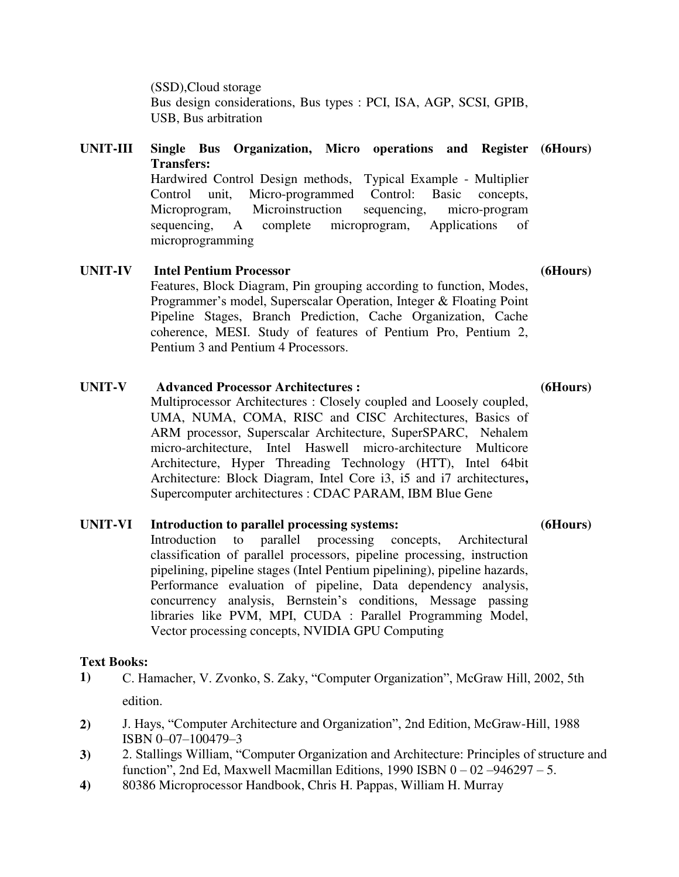(SSD),Cloud storage Bus design considerations, Bus types : PCI, ISA, AGP, SCSI, GPIB, USB, Bus arbitration

### **UNIT-III Single Bus Organization, Micro operations and Register (6Hours) Transfers:**

Hardwired Control Design methods, Typical Example - Multiplier Control unit, Micro-programmed Control: Basic concepts, Microprogram, Microinstruction sequencing, micro-program sequencing, A complete microprogram, Applications of microprogramming

**UNIT-IV Intel Pentium Processor**  Features, Block Diagram, Pin grouping according to function, Modes, Programmer's model, Superscalar Operation, Integer & Floating Point Pipeline Stages, Branch Prediction, Cache Organization, Cache coherence, MESI. Study of features of Pentium Pro, Pentium 2, Pentium 3 and Pentium 4 Processors.

# **UNIT-V Advanced Processor Architectures :**  Multiprocessor Architectures : Closely coupled and Loosely coupled,

UMA, NUMA, COMA, RISC and CISC Architectures, Basics of ARM processor, Superscalar Architecture, SuperSPARC, Nehalem micro-architecture, Intel Haswell micro-architecture Multicore Architecture, Hyper Threading Technology (HTT), Intel 64bit Architecture: Block Diagram, Intel Core i3, i5 and i7 architectures**,**  Supercomputer architectures : CDAC PARAM, IBM Blue Gene

# **UNIT-VI Introduction to parallel processing systems:**

Introduction to parallel processing concepts, Architectural classification of parallel processors, pipeline processing, instruction pipelining, pipeline stages (Intel Pentium pipelining), pipeline hazards, Performance evaluation of pipeline, Data dependency analysis, concurrency analysis, Bernstein's conditions, Message passing libraries like PVM, MPI, CUDA : Parallel Programming Model, Vector processing concepts, NVIDIA GPU Computing

# **Text Books:**

- **1)** C. Hamacher, V. Zvonko, S. Zaky, "Computer Organization", McGraw Hill, 2002, 5th edition.
- **2)** J. Hays, "Computer Architecture and Organization", 2nd Edition, McGraw-Hill, 1988 ISBN 0–07–100479–3
- **3)** 2. Stallings William, "Computer Organization and Architecture: Principles of structure and function", 2nd Ed, Maxwell Macmillan Editions, 1990 ISBN  $0 - 02 - 946297 - 5$ .
- **4)** 80386 Microprocessor Handbook, Chris H. Pappas, William H. Murray

**(6Hours)**

**(6Hours)**

**(6Hours)**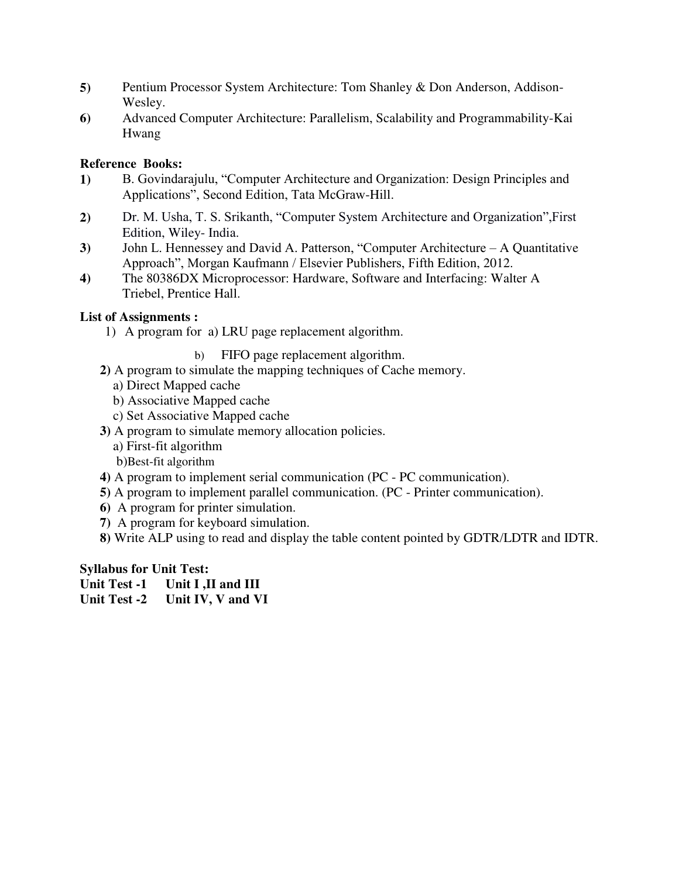- **5)** Pentium Processor System Architecture: Tom Shanley & Don Anderson, Addison-Wesley.
- **6)** Advanced Computer Architecture: Parallelism, Scalability and Programmability-Kai Hwang

### **Reference Books:**

- **1)** B. Govindarajulu, "Computer Architecture and Organization: Design Principles and Applications", Second Edition, Tata McGraw-Hill.
- **2)** Dr. M. Usha, T. S. Srikanth, "Computer System Architecture and Organization",First Edition, Wiley- India.
- **3)** John L. Hennessey and David A. Patterson, "Computer Architecture A Quantitative Approach", Morgan Kaufmann / Elsevier Publishers, Fifth Edition, 2012.
- **4)** The 80386DX Microprocessor: Hardware, Software and Interfacing: Walter A Triebel, Prentice Hall.

### **List of Assignments :**

- 1) A program for a) LRU page replacement algorithm.
	- b) FIFO page replacement algorithm.
- **2)** A program to simulate the mapping techniques of Cache memory.
	- a) Direct Mapped cache
	- b) Associative Mapped cache
	- c) Set Associative Mapped cache
- **3)** A program to simulate memory allocation policies.
	- a) First-fit algorithm
	- b)Best-fit algorithm
- **4)** A program to implement serial communication (PC PC communication).
- **5)** A program to implement parallel communication. (PC Printer communication).
- **6)** A program for printer simulation.
- **7)** A program for keyboard simulation.
- **8)** Write ALP using to read and display the table content pointed by GDTR/LDTR and IDTR.

### **Syllabus for Unit Test:**

- **Unit Test -1 Unit I ,II and III**
- **Unit Test -2 Unit IV, V and VI**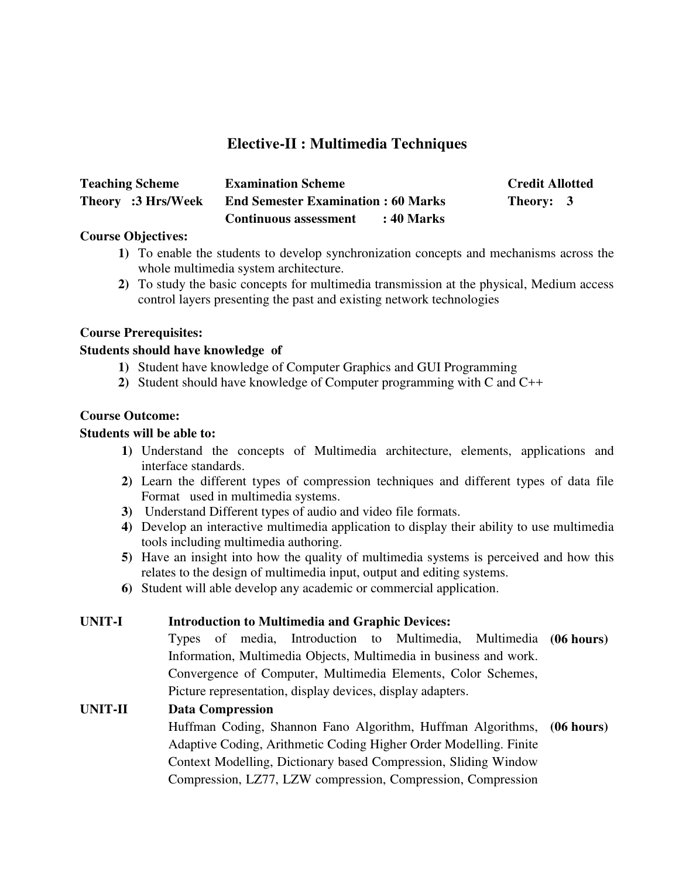# **Elective-II : Multimedia Techniques**

| <b>Teaching Scheme</b> | <b>Examination Scheme</b>                  | <b>Credit Allotted</b> |
|------------------------|--------------------------------------------|------------------------|
| Theory :3 Hrs/Week     | <b>End Semester Examination: 60 Marks</b>  | Theory: 3              |
|                        | <b>Continuous assessment</b><br>: 40 Marks |                        |

### **Course Objectives:**

- **1)** To enable the students to develop synchronization concepts and mechanisms across the whole multimedia system architecture.
- **2)** To study the basic concepts for multimedia transmission at the physical, Medium access control layers presenting the past and existing network technologies

### **Course Prerequisites:**

### **Students should have knowledge of**

- **1)** Student have knowledge of Computer Graphics and GUI Programming
- **2)** Student should have knowledge of Computer programming with C and C++

### **Course Outcome:**

### **Students will be able to:**

- **1)** Understand the concepts of Multimedia architecture, elements, applications and interface standards.
- **2)** Learn the different types of compression techniques and different types of data file Format used in multimedia systems.
- **3)** Understand Different types of audio and video file formats.
- **4)** Develop an interactive multimedia application to display their ability to use multimedia tools including multimedia authoring.
- **5)** Have an insight into how the quality of multimedia systems is perceived and how this relates to the design of multimedia input, output and editing systems.
- **6)** Student will able develop any academic or commercial application.

### **UNIT-I Introduction to Multimedia and Graphic Devices:**

Types of media, Introduction to Multimedia, Multimedia **(06 hours)**  Information, Multimedia Objects, Multimedia in business and work. Convergence of Computer, Multimedia Elements, Color Schemes, Picture representation, display devices, display adapters.

# **UNIT-II Data Compression**

Huffman Coding, Shannon Fano Algorithm, Huffman Algorithms, **(06 hours)**Adaptive Coding, Arithmetic Coding Higher Order Modelling. Finite Context Modelling, Dictionary based Compression, Sliding Window Compression, LZ77, LZW compression, Compression, Compression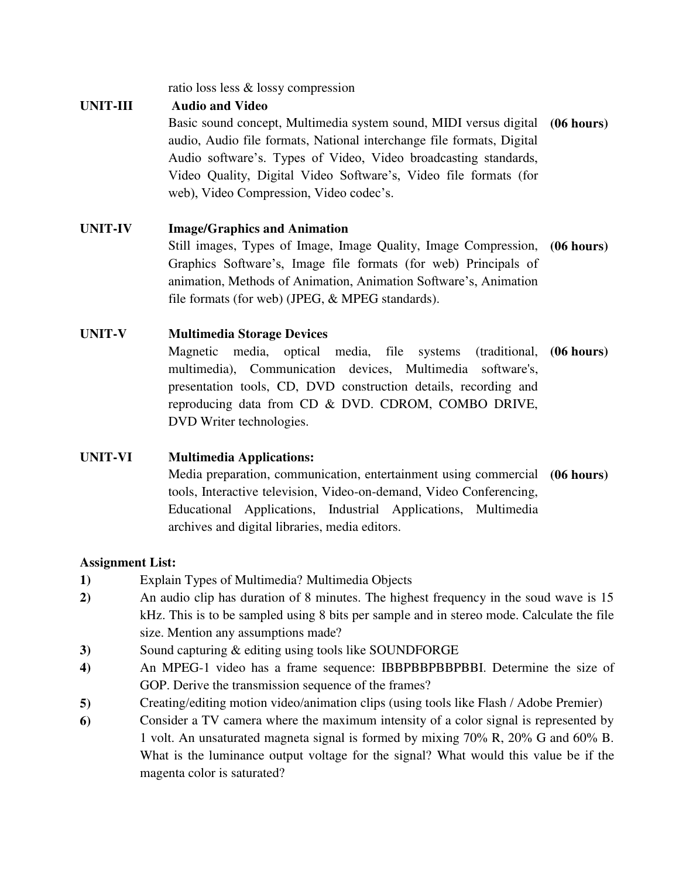ratio loss less & lossy compression

# **UNIT-III Audio and Video**

Basic sound concept, Multimedia system sound, MIDI versus digital **(06 hours)** audio, Audio file formats, National interchange file formats, Digital Audio software's. Types of Video, Video broadcasting standards, Video Quality, Digital Video Software's, Video file formats (for web), Video Compression, Video codec's.

# **UNIT-IV Image/Graphics and Animation**

Still images, Types of Image, Image Quality, Image Compression, **(06 hours)**  Graphics Software's, Image file formats (for web) Principals of animation, Methods of Animation, Animation Software's, Animation file formats (for web) (JPEG, & MPEG standards).

# **UNIT-V Multimedia Storage Devices**

Magnetic media, optical media, file systems multimedia), Communication devices, Multimedia software's, presentation tools, CD, DVD construction details, recording and reproducing data from CD & DVD. CDROM, COMBO DRIVE, DVD Writer technologies. (traditional, (06 hours)

# **UNIT-VI Multimedia Applications:**

Media preparation, communication, entertainment using commercial **(06 hours)** tools, Interactive television, Video-on-demand, Video Conferencing, Educational Applications, Industrial Applications, Multimedia archives and digital libraries, media editors.

# **Assignment List:**

- **1)** Explain Types of Multimedia? Multimedia Objects
- **2)** An audio clip has duration of 8 minutes. The highest frequency in the soud wave is 15 kHz. This is to be sampled using 8 bits per sample and in stereo mode. Calculate the file size. Mention any assumptions made?
- **3)** Sound capturing & editing using tools like SOUNDFORGE
- **4)** An MPEG-1 video has a frame sequence: IBBPBBPBBPBBI. Determine the size of GOP. Derive the transmission sequence of the frames?
- **5)** Creating/editing motion video/animation clips (using tools like Flash / Adobe Premier)
- **6)** Consider a TV camera where the maximum intensity of a color signal is represented by 1 volt. An unsaturated magneta signal is formed by mixing 70% R, 20% G and 60% B. What is the luminance output voltage for the signal? What would this value be if the magenta color is saturated?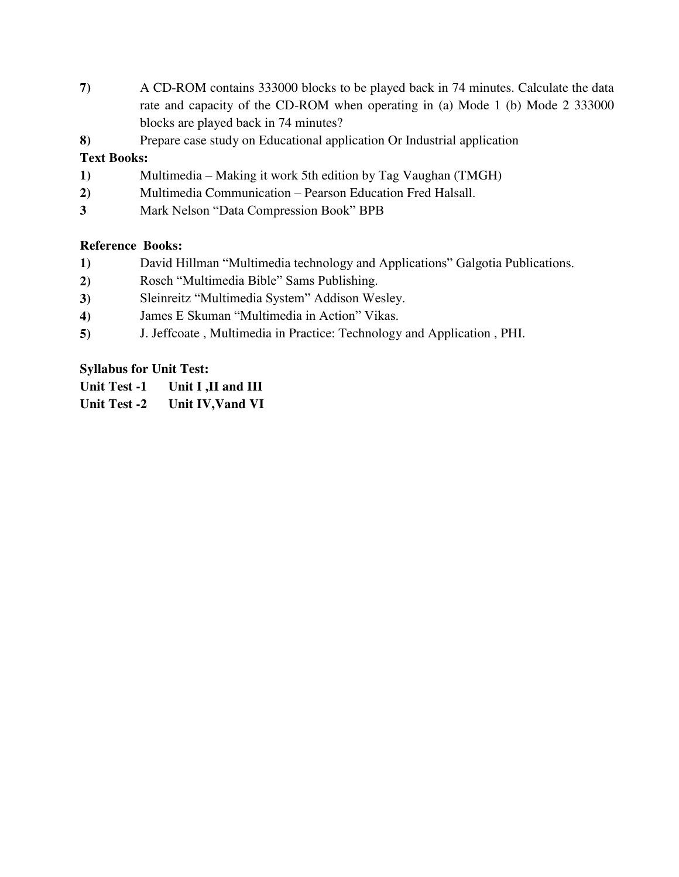- **7)** A CD-ROM contains 333000 blocks to be played back in 74 minutes. Calculate the data rate and capacity of the CD-ROM when operating in (a) Mode 1 (b) Mode 2 333000 blocks are played back in 74 minutes?
- **8)** Prepare case study on Educational application Or Industrial application

# **Text Books:**

- **1)** Multimedia Making it work 5th edition by Tag Vaughan (TMGH)
- **2)** Multimedia Communication Pearson Education Fred Halsall.
- **3** Mark Nelson "Data Compression Book" BPB

# **Reference Books:**

- **1)** David Hillman "Multimedia technology and Applications" Galgotia Publications.
- **2)** Rosch "Multimedia Bible" Sams Publishing.
- **3)** Sleinreitz "Multimedia System" Addison Wesley.
- **4)** James E Skuman "Multimedia in Action" Vikas.
- **5)** J. Jeffcoate , Multimedia in Practice: Technology and Application , PHI.

# **Syllabus for Unit Test:**

- **Unit Test -1 Unit I ,II and III**
- **Unit Test -2 Unit IV,Vand VI**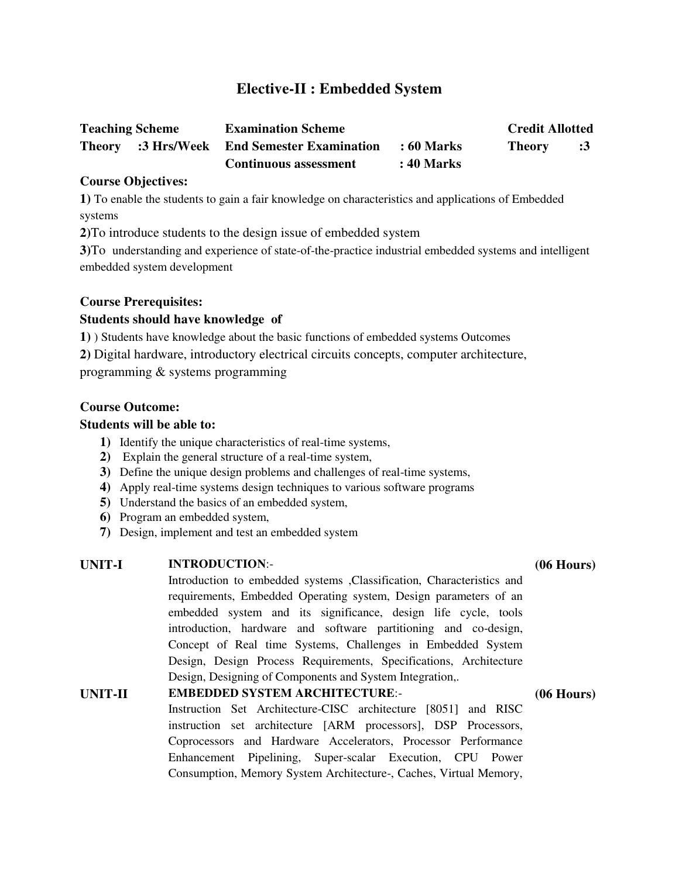# **Elective-II : Embedded System**

| <b>Teaching Scheme</b> | <b>Examination Scheme</b>                          |            | <b>Credit Allotted</b> |            |
|------------------------|----------------------------------------------------|------------|------------------------|------------|
|                        | <b>Theory</b> :3 Hrs/Week End Semester Examination | : 60 Marks | <b>Theory</b>          | $\cdot$ :3 |
|                        | <b>Continuous assessment</b>                       | : 40 Marks |                        |            |

#### **Course Objectives:**

**1)** To enable the students to gain a fair knowledge on characteristics and applications of Embedded systems

**2)**To introduce students to the design issue of embedded system

**3)**To understanding and experience of state-of-the-practice industrial embedded systems and intelligent embedded system development

### **Course Prerequisites:**

### **Students should have knowledge of**

**1)** ) Students have knowledge about the basic functions of embedded systems Outcomes

**2)** Digital hardware, introductory electrical circuits concepts, computer architecture,

programming & systems programming

#### **Course Outcome:**

#### **Students will be able to:**

- **1)** Identify the unique characteristics of real-time systems,
- **2)** Explain the general structure of a real-time system,
- **3)** Define the unique design problems and challenges of real-time systems,
- **4)** Apply real-time systems design techniques to various software programs
- **5)** Understand the basics of an embedded system,
- **6)** Program an embedded system,
- **7)** Design, implement and test an embedded system

#### **UNIT-I INTRODUCTION**:-

# Introduction to embedded systems ,Classification, Characteristics and requirements, Embedded Operating system, Design parameters of an embedded system and its significance, design life cycle, tools introduction, hardware and software partitioning and co-design, Concept of Real time Systems, Challenges in Embedded System Design, Design Process Requirements, Specifications, Architecture Design, Designing of Components and System Integration,.

# **UNIT-II EMBEDDED SYSTEM ARCHITECTURE**:- Instruction Set Architecture-CISC architecture [8051] and RISC instruction set architecture [ARM processors], DSP Processors, Coprocessors and Hardware Accelerators, Processor Performance Enhancement Pipelining, Super-scalar Execution, CPU Power Consumption, Memory System Architecture-, Caches, Virtual Memory,

#### **(06 Hours)**

### **(06 Hours)**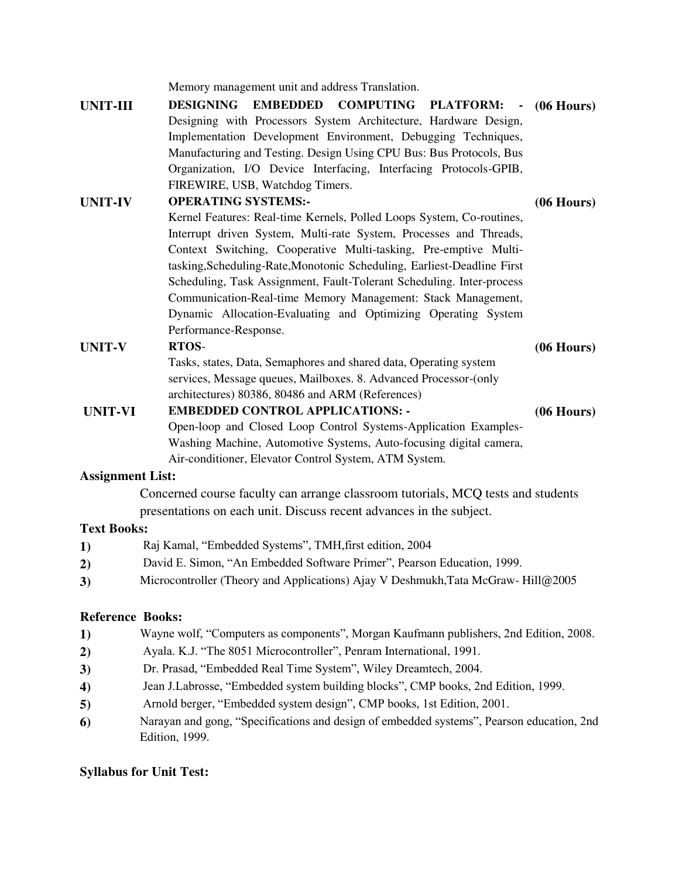Memory management unit and address Translation.

**UNIT-III DESIGNING EMBEDDED COMPUTING PLATFORM:** Designing with Processors System Architecture, Hardware Design, Implementation Development Environment, Debugging Techniques, Manufacturing and Testing. Design Using CPU Bus: Bus Protocols, Bus Organization, I/O Device Interfacing, Interfacing Protocols-GPIB, FIREWIRE, USB, Watchdog Timers. **(06 Hours)**

### **UNIT-IV OPERATING SYSTEMS:-**

Kernel Features: Real-time Kernels, Polled Loops System, Co-routines, Interrupt driven System, Multi-rate System, Processes and Threads, Context Switching, Cooperative Multi-tasking, Pre-emptive Multitasking,Scheduling-Rate,Monotonic Scheduling, Earliest-Deadline First Scheduling, Task Assignment, Fault-Tolerant Scheduling. Inter-process Communication-Real-time Memory Management: Stack Management, Dynamic Allocation-Evaluating and Optimizing Operating System Performance-Response.

**(06 Hours)**

**(06 Hours)**

### **UNIT-V RTOS**-

Tasks, states, Data, Semaphores and shared data, Operating system services, Message queues, Mailboxes. 8. Advanced Processor-(only architectures) 80386, 80486 and ARM (References)

#### **UNIT-VI EMBEDDED CONTROL APPLICATIONS: -** Open-loop and Closed Loop Control Systems-Application Examples-Washing Machine, Automotive Systems, Auto-focusing digital camera, Air-conditioner, Elevator Control System, ATM System. **(06 Hours)**

### **Assignment List:**

Concerned course faculty can arrange classroom tutorials, MCQ tests and students presentations on each unit. Discuss recent advances in the subject.

### **Text Books:**

- **1)** Raj Kamal, "Embedded Systems", TMH,first edition, 2004
- **2)** David E. Simon, "An Embedded Software Primer", Pearson Education, 1999.
- **3)** Microcontroller (Theory and Applications) Ajay V Deshmukh,Tata McGraw- Hill@2005

# **Reference Books:**

- **1)** Wayne wolf, "Computers as components", Morgan Kaufmann publishers, 2nd Edition, 2008.
- **2)** Ayala. K.J. "The 8051 Microcontroller", Penram International, 1991.
- **3)** Dr. Prasad, "Embedded Real Time System", Wiley Dreamtech, 2004.
- **4)** Jean J.Labrosse, "Embedded system building blocks", CMP books, 2nd Edition, 1999.
- **5)** Arnold berger, "Embedded system design", CMP books, 1st Edition, 2001.
- **6)** Narayan and gong, "Specifications and design of embedded systems", Pearson education, 2nd Edition, 1999.

# **Syllabus for Unit Test:**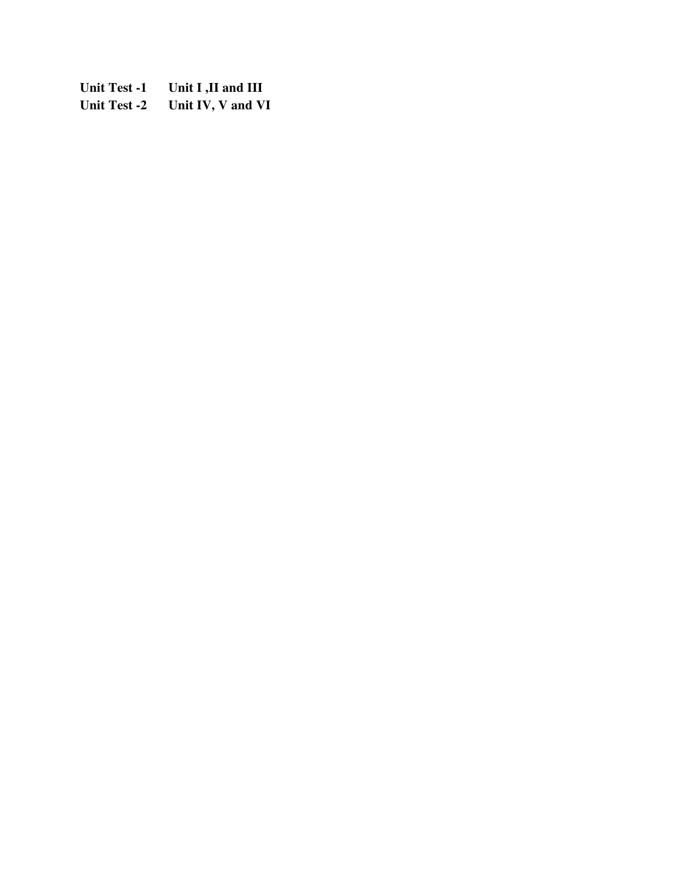**Unit Test -1 Unit I ,II and III Unit Test -2 Unit IV, V and VI**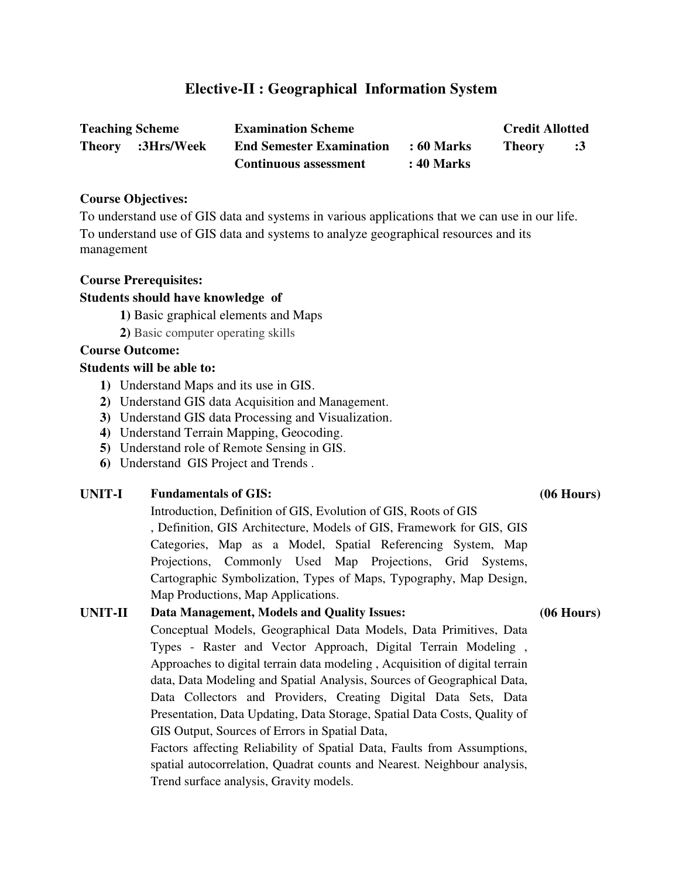# **Elective-II : Geographical Information System**

| <b>Teaching Scheme</b> |                   | <b>Examination Scheme</b>       |            | <b>Credit Allotted</b> |    |
|------------------------|-------------------|---------------------------------|------------|------------------------|----|
|                        | Theory :3Hrs/Week | <b>End Semester Examination</b> | : 60 Marks | <b>Theory</b>          | :3 |
|                        |                   | <b>Continuous assessment</b>    | : 40 Marks |                        |    |

#### **Course Objectives:**

To understand use of GIS data and systems in various applications that we can use in our life. To understand use of GIS data and systems to analyze geographical resources and its management

#### **Course Prerequisites:**

#### **Students should have knowledge of**

**1)** Basic graphical elements and Maps

**2)** Basic computer operating skills

### **Course Outcome:**

#### **Students will be able to:**

- **1)** Understand Maps and its use in GIS.
- **2)** Understand GIS data Acquisition and Management.
- **3)** Understand GIS data Processing and Visualization.
- **4)** Understand Terrain Mapping, Geocoding.
- **5)** Understand role of Remote Sensing in GIS.
- **6)** Understand GIS Project and Trends .

### **UNIT-I Fundamentals of GIS: (06 Hours)**

Introduction, Definition of GIS, Evolution of GIS, Roots of GIS , Definition, GIS Architecture, Models of GIS, Framework for GIS, GIS Categories, Map as a Model, Spatial Referencing System, Map Projections, Commonly Used Map Projections, Grid Systems, Cartographic Symbolization, Types of Maps, Typography, Map Design, Map Productions, Map Applications.

# **UNIT-II Data Management, Models and Quality Issues: (06 Hours)** Conceptual Models, Geographical Data Models, Data Primitives, Data Types - Raster and Vector Approach, Digital Terrain Modeling , Approaches to digital terrain data modeling , Acquisition of digital terrain data, Data Modeling and Spatial Analysis, Sources of Geographical Data, Data Collectors and Providers, Creating Digital Data Sets, Data Presentation, Data Updating, Data Storage, Spatial Data Costs, Quality of GIS Output, Sources of Errors in Spatial Data, Factors affecting Reliability of Spatial Data, Faults from Assumptions, spatial autocorrelation, Quadrat counts and Nearest. Neighbour analysis, Trend surface analysis, Gravity models.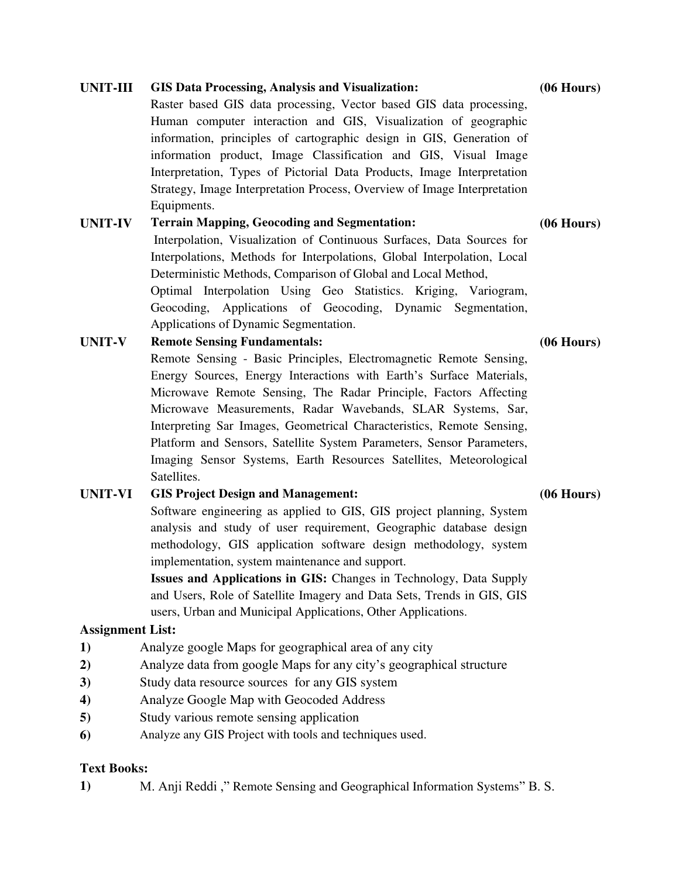| <b>UNIT-III</b> | <b>GIS Data Processing, Analysis and Visualization:</b>                  |              |  |  |  |
|-----------------|--------------------------------------------------------------------------|--------------|--|--|--|
|                 | Raster based GIS data processing, Vector based GIS data processing,      |              |  |  |  |
|                 | Human computer interaction and GIS, Visualization of geographic          |              |  |  |  |
|                 | information, principles of cartographic design in GIS, Generation of     |              |  |  |  |
|                 | information product, Image Classification and GIS, Visual Image          |              |  |  |  |
|                 | Interpretation, Types of Pictorial Data Products, Image Interpretation   |              |  |  |  |
|                 | Strategy, Image Interpretation Process, Overview of Image Interpretation |              |  |  |  |
|                 | Equipments.                                                              |              |  |  |  |
| <b>UNIT-IV</b>  | <b>Terrain Mapping, Geocoding and Segmentation:</b>                      |              |  |  |  |
|                 | Interpolation, Visualization of Continuous Surfaces, Data Sources for    |              |  |  |  |
|                 | Interpolations, Methods for Interpolations, Global Interpolation, Local  |              |  |  |  |
|                 | Deterministic Methods, Comparison of Global and Local Method,            |              |  |  |  |
|                 | Optimal Interpolation Using Geo Statistics. Kriging, Variogram,          |              |  |  |  |
|                 | Geocoding, Applications of Geocoding, Dynamic Segmentation,              |              |  |  |  |
|                 | Applications of Dynamic Segmentation.                                    |              |  |  |  |
| <b>UNIT-V</b>   | <b>Remote Sensing Fundamentals:</b>                                      | $(06$ Hours) |  |  |  |
|                 | Remote Sensing - Basic Principles, Electromagnetic Remote Sensing,       |              |  |  |  |
|                 | Energy Sources, Energy Interactions with Earth's Surface Materials,      |              |  |  |  |
|                 | Microwave Remote Sensing, The Radar Principle, Factors Affecting         |              |  |  |  |
|                 | Microwave Measurements, Radar Wavebands, SLAR Systems, Sar,              |              |  |  |  |
|                 | Interpreting Sar Images, Geometrical Characteristics, Remote Sensing,    |              |  |  |  |
|                 |                                                                          |              |  |  |  |

# Platform and Sensors, Satellite System Parameters, Sensor Parameters, Imaging Sensor Systems, Earth Resources Satellites, Meteorological Satellites.

# **UNIT-VI GIS Project Design and Management: (06 Hours)**

Software engineering as applied to GIS, GIS project planning, System analysis and study of user requirement, Geographic database design methodology, GIS application software design methodology, system implementation, system maintenance and support.

**Issues and Applications in GIS:** Changes in Technology, Data Supply and Users, Role of Satellite Imagery and Data Sets, Trends in GIS, GIS users, Urban and Municipal Applications, Other Applications.

# **Assignment List:**

- **1)** Analyze google Maps for geographical area of any city
- **2)** Analyze data from google Maps for any city's geographical structure
- **3)** Study data resource sources for any GIS system
- **4)** Analyze Google Map with Geocoded Address
- **5)** Study various remote sensing application
- **6)** Analyze any GIS Project with tools and techniques used.

# **Text Books:**

**1)** M. Anji Reddi ," Remote Sensing and Geographical Information Systems" B. S.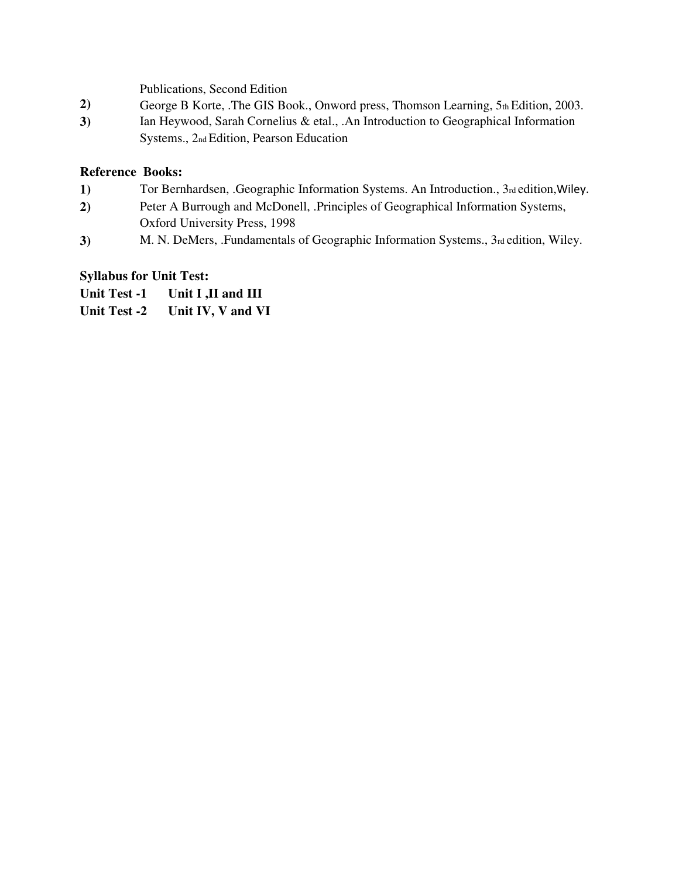Publications, Second Edition

- 2) **George B Korte, .The GIS Book., Onword press, Thomson Learning, 5th Edition, 2003.**
- **3)** Ian Heywood, Sarah Cornelius & etal., .An Introduction to Geographical Information Systems., 2nd Edition, Pearson Education

### **Reference Books:**

- 1) Tor Bernhardsen, .Geographic Information Systems. An Introduction., 3rd edition, Wiley.
- **2)** Peter A Burrough and McDonell, .Principles of Geographical Information Systems, Oxford University Press, 1998
- **3**) **M. N. DeMers, .Fundamentals of Geographic Information Systems., 3rd edition, Wiley.**

# **Syllabus for Unit Test:**

**Unit Test -1 Unit I ,II and III Unit Test -2 Unit IV, V and VI**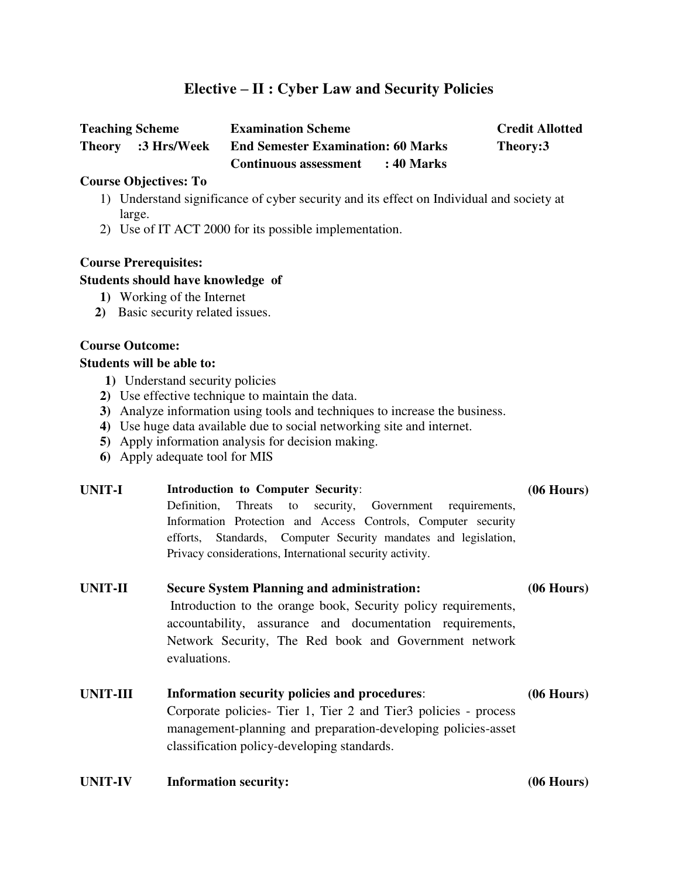# **Elective – II : Cyber Law and Security Policies**

| <b>Teaching Scheme</b>                 | <b>Examination Scheme</b>                    | <b>Credit Allotted</b> |
|----------------------------------------|----------------------------------------------|------------------------|
| <b>Theory</b><br><b>3 Hrs/Week</b> : 3 | <b>End Semester Examination: 60 Marks</b>    | Theory:3               |
|                                        | <b>Continuous assessment</b><br>$: 40$ Marks |                        |

### **Course Objectives: To**

- 1) Understand significance of cyber security and its effect on Individual and society at large.
- 2) Use of IT ACT 2000 for its possible implementation.

### **Course Prerequisites:**

### **Students should have knowledge of**

- **1)** Working of the Internet
- **2)** Basic security related issues.

### **Course Outcome:**

### **Students will be able to:**

- **1)** Understand security policies
- **2)** Use effective technique to maintain the data.
- **3)** Analyze information using tools and techniques to increase the business.
- **4)** Use huge data available due to social networking site and internet.
- **5)** Apply information analysis for decision making.
- **6)** Apply adequate tool for MIS

#### **UNIT-I Introduction to Computer Security**: Definition, Threats to security, Government requirements, **(06 Hours)**

Information Protection and Access Controls, Computer security efforts, Standards, Computer Security mandates and legislation, Privacy considerations, International security activity.

### **UNIT-II Secure System Planning and administration:**

**(06 Hours)**

 Introduction to the orange book, Security policy requirements, accountability, assurance and documentation requirements, Network Security, The Red book and Government network evaluations.

#### **UNIT-III Information security policies and procedures**: Corporate policies- Tier 1, Tier 2 and Tier3 policies - process management-planning and preparation-developing policies-asset classification policy-developing standards. **(06 Hours)**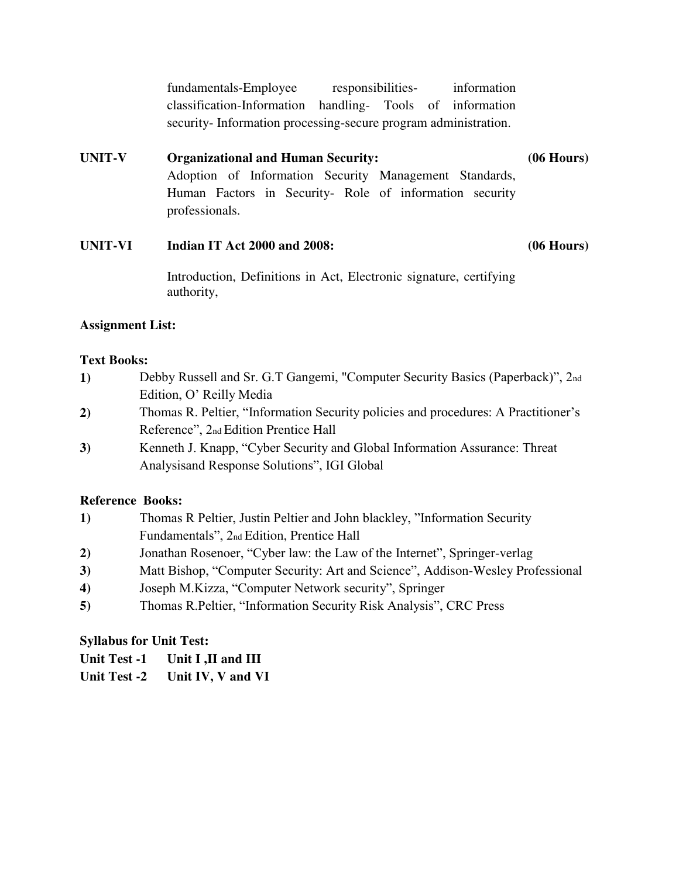fundamentals-Employee responsibilities- information classification-Information handling- Tools of information security- Information processing-secure program administration.

#### **UNIT-V Organizational and Human Security:** Adoption of Information Security Management Standards, Human Factors in Security- Role of information security professionals. **(06 Hours)**

#### **UNIT-VI Indian IT Act 2000 and 2008: (06 Hours)**

Introduction, Definitions in Act, Electronic signature, certifying authority,

# **Assignment List:**

# **Text Books:**

- **1)** Debby Russell and Sr. G.T Gangemi, "Computer Security Basics (Paperback)", 2nd Edition, O' Reilly Media
- **2)** Thomas R. Peltier, "Information Security policies and procedures: A Practitioner's Reference", 2nd Edition Prentice Hall
- **3)** Kenneth J. Knapp, "Cyber Security and Global Information Assurance: Threat Analysisand Response Solutions", IGI Global

# **Reference Books:**

- **1)** Thomas R Peltier, Justin Peltier and John blackley, "Information Security Fundamentals", 2nd Edition, Prentice Hall
- **2)** Jonathan Rosenoer, "Cyber law: the Law of the Internet", Springer-verlag
- **3)** Matt Bishop, "Computer Security: Art and Science", Addison-Wesley Professional
- **4)** Joseph M.Kizza, "Computer Network security", Springer
- **5)** Thomas R.Peltier, "Information Security Risk Analysis", CRC Press

# **Syllabus for Unit Test:**

| <b>Unit Test -2</b> | Unit IV, V and VI |
|---------------------|-------------------|
|---------------------|-------------------|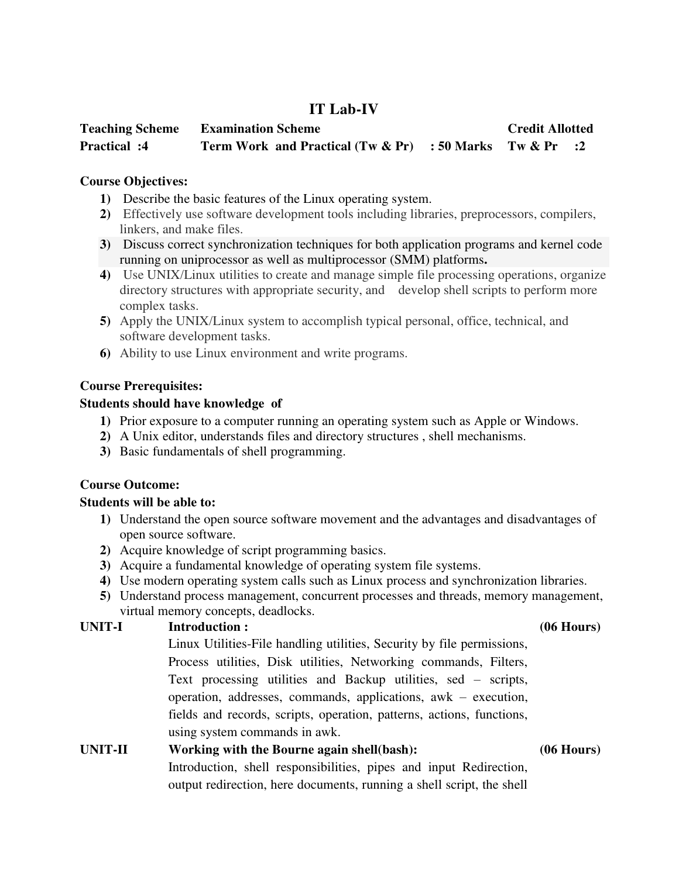# **IT Lab-IV**

| <b>Teaching Scheme</b> | <b>Examination Scheme</b>                                  |  | <b>Credit Allotted</b> |  |
|------------------------|------------------------------------------------------------|--|------------------------|--|
| <b>Practical :4</b>    | Term Work and Practical $(Tw & Pr)$ : 50 Marks Tw & Pr : 2 |  |                        |  |

### **Course Objectives:**

- **1)** Describe the basic features of the Linux operating system.
- **2)** Effectively use software development tools including libraries, preprocessors, compilers, linkers, and make files.
- **3)** Discuss correct synchronization techniques for both application programs and kernel code running on uniprocessor as well as multiprocessor (SMM) platforms**.**
- **4)** Use UNIX/Linux utilities to create and manage simple file processing operations, organize directory structures with appropriate security, and develop shell scripts to perform more complex tasks.
- **5)** Apply the UNIX/Linux system to accomplish typical personal, office, technical, and software development tasks.
- **6)** Ability to use Linux environment and write programs.

### **Course Prerequisites:**

### **Students should have knowledge of**

- **1)** Prior exposure to a computer running an operating system such as Apple or Windows.
- **2)** A Unix editor, understands files and directory structures , shell mechanisms.
- **3)** Basic fundamentals of shell programming.

# **Course Outcome:**

### **Students will be able to:**

- **1)** Understand the open source software movement and the advantages and disadvantages of open source software.
- **2)** Acquire knowledge of script programming basics.
- **3)** Acquire a fundamental knowledge of operating system file systems.
- **4)** Use modern operating system calls such as Linux process and synchronization libraries.
- **5)** Understand process management, concurrent processes and threads, memory management, virtual memory concepts, deadlocks.

# **UNIT-I Introduction : (06 Hours)**

Linux Utilities-File handling utilities, Security by file permissions, Process utilities, Disk utilities, Networking commands, Filters, Text processing utilities and Backup utilities, sed – scripts, operation, addresses, commands, applications, awk – execution, fields and records, scripts, operation, patterns, actions, functions, using system commands in awk.

output redirection, here documents, running a shell script, the shell

# **UNIT-II Working with the Bourne again shell(bash): (06 Hours)** Introduction, shell responsibilities, pipes and input Redirection,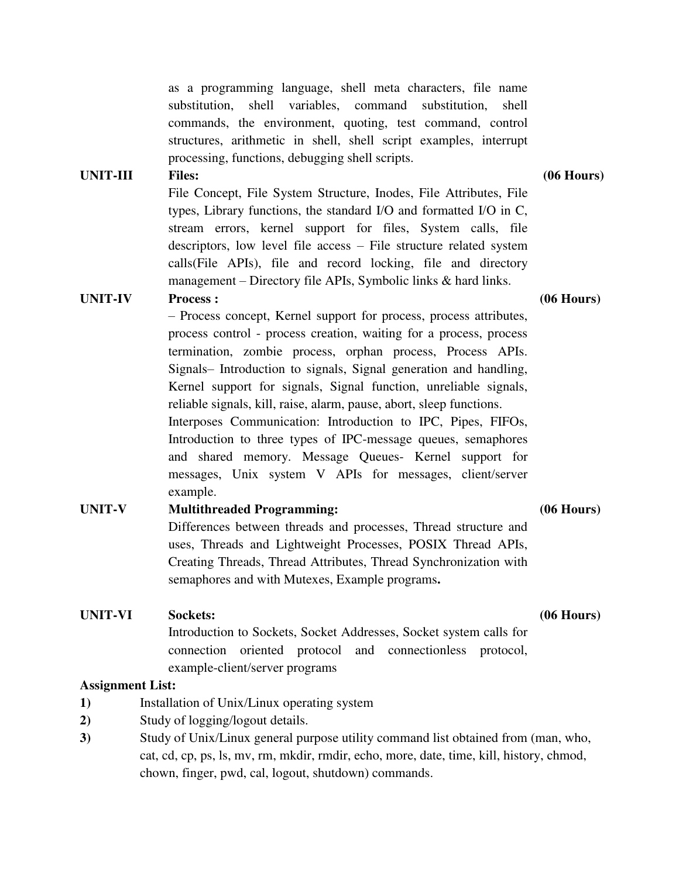as a programming language, shell meta characters, file name substitution, shell variables, command substitution, shell commands, the environment, quoting, test command, control structures, arithmetic in shell, shell script examples, interrupt processing, functions, debugging shell scripts.

#### **UNIT-III Files: (06 Hours)**

File Concept, File System Structure, Inodes, File Attributes, File types, Library functions, the standard I/O and formatted I/O in C, stream errors, kernel support for files, System calls, file descriptors, low level file access – File structure related system calls(File APIs), file and record locking, file and directory management – Directory file APIs, Symbolic links & hard links.

### **UNIT-IV Process : (06 Hours)**

– Process concept, Kernel support for process, process attributes, process control - process creation, waiting for a process, process termination, zombie process, orphan process, Process APIs. Signals– Introduction to signals, Signal generation and handling, Kernel support for signals, Signal function, unreliable signals, reliable signals, kill, raise, alarm, pause, abort, sleep functions. Interposes Communication: Introduction to IPC, Pipes, FIFOs, Introduction to three types of IPC-message queues, semaphores

and shared memory. Message Queues- Kernel support for messages, Unix system V APIs for messages, client/server example.

# **UNIT-V Multithreaded Programming: (06 Hours)**

Differences between threads and processes, Thread structure and uses, Threads and Lightweight Processes, POSIX Thread APIs, Creating Threads, Thread Attributes, Thread Synchronization with semaphores and with Mutexes, Example programs**.**

# **UNIT-VI Sockets: (06 Hours)** Introduction to Sockets, Socket Addresses, Socket system calls for connection oriented protocol and connectionless protocol, example-client/server programs

### **Assignment List:**

- **1)** Installation of Unix/Linux operating system
- **2)** Study of logging/logout details.
- **3)** Study of Unix/Linux general purpose utility command list obtained from (man, who, cat, cd, cp, ps, ls, mv, rm, mkdir, rmdir, echo, more, date, time, kill, history, chmod, chown, finger, pwd, cal, logout, shutdown) commands.